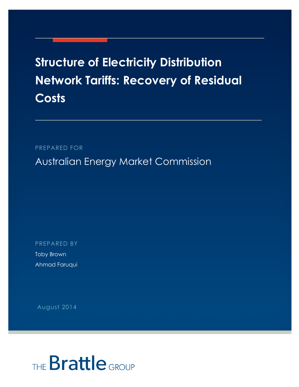## **Structure of Electricity Distribution Network Tariffs: Recovery of Residual Costs**

PREPARED FOR

Australian Energy Market Commission

PREPARED BY

Toby Brown Ahmad Faruqui

August 2014

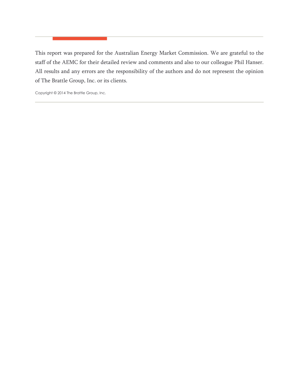This report was prepared for the Australian Energy Market Commission. We are grateful to the staff of the AEMC for their detailed review and comments and also to our colleague Phil Hanser. All results and any errors are the responsibility of the authors and do not represent the opinion of The Brattle Group, Inc. or its clients.

Copyright © 2014 The Brattle Group, Inc.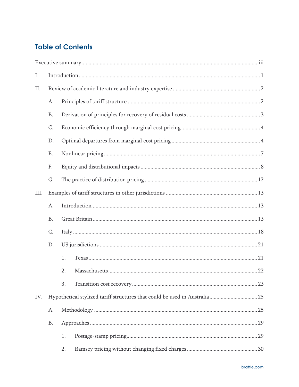## **Table of Contents**

| Ι.   |           |    |  |
|------|-----------|----|--|
| Π.   |           |    |  |
|      | A.        |    |  |
|      | <b>B.</b> |    |  |
|      | C.        |    |  |
|      | D.        |    |  |
|      | Ε.        |    |  |
|      | F.        |    |  |
|      | G.        |    |  |
| III. |           |    |  |
|      | A.        |    |  |
|      | <b>B.</b> |    |  |
|      | C.        |    |  |
|      | D.        |    |  |
|      |           | 1. |  |
|      |           | 2. |  |
|      |           | 3. |  |
| IV.  |           |    |  |
|      | A.        |    |  |
|      | <b>B.</b> |    |  |
|      |           | 1. |  |
|      |           | 2. |  |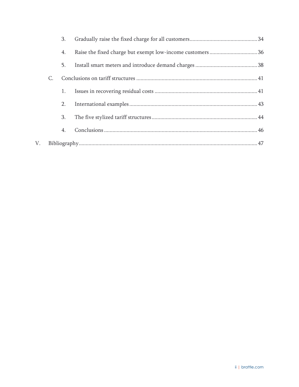|    |    | 3. |  |
|----|----|----|--|
|    |    | 4. |  |
|    |    | 5. |  |
|    | C. |    |  |
|    |    | 1. |  |
|    |    | 2. |  |
|    |    | 3. |  |
|    |    | 4. |  |
| V. |    |    |  |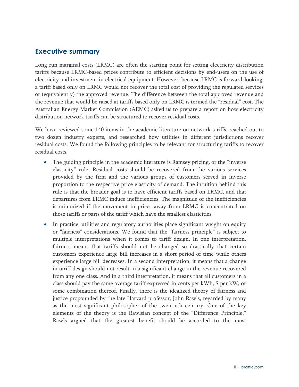## **Executive summary**

Long-run marginal costs (LRMC) are often the starting-point for setting electricity distribution tariffs because LRMC-based prices contribute to efficient decisions by end-users on the use of electricity and investment in electrical equipment. However, because LRMC is forward-looking, a tariff based only on LRMC would not recover the total cost of providing the regulated services or (equivalently) the approved revenue. The difference between the total approved revenue and the revenue that would be raised at tariffs based only on LRMC is termed the "residual" cost. The Australian Energy Market Commission (AEMC) asked us to prepare a report on how electricity distribution network tariffs can be structured to recover residual costs.

We have reviewed some 140 items in the academic literature on network tariffs, reached out to two dozen industry experts, and researched how utilities in different jurisdictions recover residual costs. We found the following principles to be relevant for structuring tariffs to recover residual costs.

- The guiding principle in the academic literature is Ramsey pricing, or the "inverse" elasticity" rule. Residual costs should be recovered from the various services provided by the firm and the various groups of customers served in inverse proportion to the respective price elasticity of demand. The intuition behind this rule is that the broader goal is to have efficient tariffs based on LRMC, and that departures from LRMC induce inefficiencies. The magnitude of the inefficiencies is minimized if the movement in prices away from LRMC is concentrated on those tariffs or parts of the tariff which have the smallest elasticities.
- In practice, utilities and regulatory authorities place significant weight on equity or "fairness" considerations. We found that the "fairness principle" is subject to multiple interpretations when it comes to tariff design. In one interpretation, fairness means that tariffs should not be changed so drastically that certain customers experience large bill increases in a short period of time while others experience large bill decreases. In a second interpretation, it means that a change in tariff design should not result in a significant change in the revenue recovered from any one class. And in a third interpretation, it means that all customers in a class should pay the same average tariff expressed in cents per kWh, \$ per kW, or some combination thereof. Finally, there is the idealized theory of fairness and justice propounded by the late Harvard professor, John Rawls, regarded by many as the most significant philosopher of the twentieth century. One of the key elements of the theory is the Rawlsian concept of the "Difference Principle." Rawls argued that the greatest benefit should be accorded to the most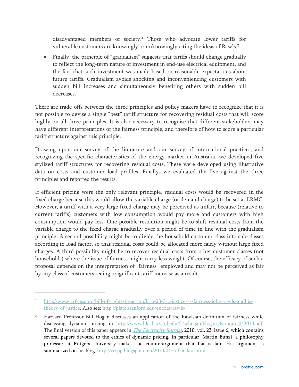disadvantaged members of society.1 Those who advocate lower tariffs for vulnerable customers are knowingly or unknowingly citing the ideas of Rawls.<sup>2</sup>

 Finally, the principle of "gradualism" suggests that tariffs should change gradually to reflect the long-term nature of investment in end-use electrical equipment, and the fact that such investment was made based on reasonable expectations about future tariffs. Gradualism avoids shocking and inconveniencing customers with sudden bill increases and simultaneously benefiting others with sudden bill decreases.

There are trade-offs between the three principles and policy makers have to recognize that it is not possible to devise a single "best" tariff structure for recovering residual costs that will score highly on all three principles. It is also necessary to recognise that different stakeholders may have different interpretations of the fairness principle, and therefore of how to score a particular tariff structure against this principle.

Drawing upon our survey of the literature and our survey of international practices, and recognizing the specific characteristics of the energy market in Australia, we developed five stylized tariff structures for recovering residual costs. These were developed using illustrative data on costs and customer load profiles. Finally, we evaluated the five against the three principles and reported the results.

If efficient pricing were the only relevant principle, residual costs would be recovered in the fixed charge because this would allow the variable charge (or demand charge) to be set at LRMC. However, a tariff with a very large fixed charge may be perceived as unfair, because (relative to current tariffs) customers with low consumption would pay more and customers with high consumption would pay less. One possible resolution might be to shift residual costs from the variable charge to the fixed charge gradually over a period of time in line with the gradualism principle. A second possibility might be to divide the household customer class into sub-classes according to load factor, so that residual costs could be allocated more fairly without large fixed charges. A third possibility might be to recover residual costs from other customer classes (not households) where the issue of fairness might carry less weight. Of course, the efficacy of such a proposal depends on the interpretation of "fairness" employed and may not be perceived as fair by any class of customers seeing a significant tariff increase as a result.

-

<sup>1</sup> http://www.crf-usa.org/bill-of-rights-in-action/bria-23-3-c-justice-as-fairness-john-rawls-andhistheory-of-justice. Also see: http://plato.stanford.edu/entries/rawls/.

<sup>2</sup> Harvard Professor Bill Hogan discusses an application of the Rawlsian definition of fairness while discussing dynamic pricing in http://www.hks.harvard.edu/fs/whogan/Hogan Faruqui 043010.pdf. The final version of this paper appears in *The Electricity Journal*, 2010, vol. 23, issue 6, which contains several papers devoted to the ethics of dynamic pricing. In particular, Martin Bunzl, a philosophy professor at Rutgers University makes the counterargument that flat is fair. His argument is summarized on his blog. http://ccspp.blogspot.com/2010/04/is-flat-fair.html.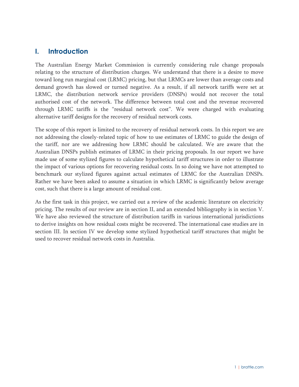## **I. Introduction**

The Australian Energy Market Commission is currently considering rule change proposals relating to the structure of distribution charges. We understand that there is a desire to move toward long run marginal cost (LRMC) pricing, but that LRMCs are lower than average costs and demand growth has slowed or turned negative. As a result, if all network tariffs were set at LRMC, the distribution network service providers (DNSPs) would not recover the total authorised cost of the network. The difference between total cost and the revenue recovered through LRMC tariffs is the "residual network cost". We were charged with evaluating alternative tariff designs for the recovery of residual network costs.

The scope of this report is limited to the recovery of residual network costs. In this report we are not addressing the closely-related topic of how to use estimates of LRMC to guide the design of the tariff, nor are we addressing how LRMC should be calculated. We are aware that the Australian DNSPs publish estimates of LRMC in their pricing proposals. In our report we have made use of some stylized figures to calculate hypothetical tariff structures in order to illustrate the impact of various options for recovering residual costs. In so doing we have not attempted to benchmark our stylized figures against actual estimates of LRMC for the Australian DNSPs. Rather we have been asked to assume a situation in which LRMC is significantly below average cost, such that there is a large amount of residual cost.

As the first task in this project, we carried out a review of the academic literature on electricity pricing. The results of our review are in section II, and an extended bibliography is in section V. We have also reviewed the structure of distribution tariffs in various international jurisdictions to derive insights on how residual costs might be recovered. The international case studies are in section III. In section IV we develop some stylized hypothetical tariff structures that might be used to recover residual network costs in Australia.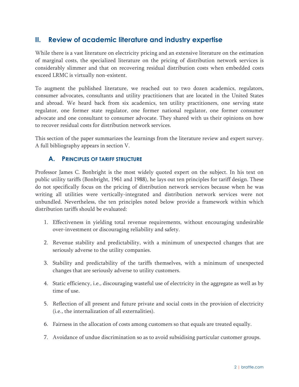## **II. Review of academic literature and industry expertise**

While there is a vast literature on electricity pricing and an extensive literature on the estimation of marginal costs, the specialized literature on the pricing of distribution network services is considerably slimmer and that on recovering residual distribution costs when embedded costs exceed LRMC is virtually non-existent.

To augment the published literature, we reached out to two dozen academics, regulators, consumer advocates, consultants and utility practitioners that are located in the United States and abroad. We heard back from six academics, ten utility practitioners, one serving state regulator, one former state regulator, one former national regulator, one former consumer advocate and one consultant to consumer advocate. They shared with us their opinions on how to recover residual costs for distribution network services.

This section of the paper summarizes the learnings from the literature review and expert survey. A full bibliography appears in section V.

## **A. PRINCIPLES OF TARIFF STRUCTURE**

Professor James C. Bonbright is the most widely quoted expert on the subject. In his text on public utility tariffs (Bonbright, 1961 and 1988), he lays out ten principles for tariff design. These do not specifically focus on the pricing of distribution network services because when he was writing all utilities were vertically-integrated and distribution network services were not unbundled. Nevertheless, the ten principles noted below provide a framework within which distribution tariffs should be evaluated:

- 1. Effectiveness in yielding total revenue requirements, without encouraging undesirable over-investment or discouraging reliability and safety.
- 2. Revenue stability and predictability, with a minimum of unexpected changes that are seriously adverse to the utility companies.
- 3. Stability and predictability of the tariffs themselves, with a minimum of unexpected changes that are seriously adverse to utility customers.
- 4. Static efficiency, i.e., discouraging wasteful use of electricity in the aggregate as well as by time of use.
- 5. Reflection of all present and future private and social costs in the provision of electricity (i.e., the internalization of all externalities).
- 6. Fairness in the allocation of costs among customers so that equals are treated equally.
- 7. Avoidance of undue discrimination so as to avoid subsidising particular customer groups.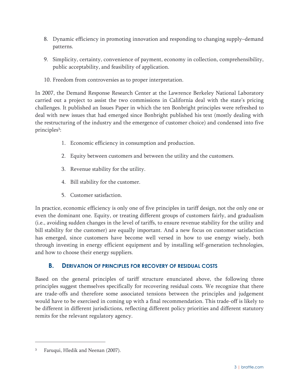- 8. Dynamic efficiency in promoting innovation and responding to changing supply–demand patterns.
- 9. Simplicity, certainty, convenience of payment, economy in collection, comprehensibility, public acceptability, and feasibility of application.
- 10. Freedom from controversies as to proper interpretation.

In 2007, the Demand Response Research Center at the Lawrence Berkeley National Laboratory carried out a project to assist the two commissions in California deal with the state's pricing challenges. It published an Issues Paper in which the ten Bonbright principles were refreshed to deal with new issues that had emerged since Bonbright published his text (mostly dealing with the restructuring of the industry and the emergence of customer choice) and condensed into five principles<sup>3</sup>:

- 1. Economic efficiency in consumption and production.
- 2. Equity between customers and between the utility and the customers.
- 3. Revenue stability for the utility.
- 4. Bill stability for the customer.
- 5. Customer satisfaction.

In practice, economic efficiency is only one of five principles in tariff design, not the only one or even the dominant one. Equity, or treating different groups of customers fairly, and gradualism (i.e., avoiding sudden changes in the level of tariffs, to ensure revenue stability for the utility and bill stability for the customer) are equally important. And a new focus on customer satisfaction has emerged, since customers have become well versed in how to use energy wisely, both through investing in energy efficient equipment and by installing self-generation technologies, and how to choose their energy suppliers.

## **B. DERIVATION OF PRINCIPLES FOR RECOVERY OF RESIDUAL COSTS**

Based on the general principles of tariff structure enunciated above, the following three principles suggest themselves specifically for recovering residual costs. We recognize that there are trade-offs and therefore some associated tensions between the principles and judgement would have to be exercised in coming up with a final recommendation. This trade-off is likely to be different in different jurisdictions, reflecting different policy priorities and different statutory remits for the relevant regulatory agency.

<sup>3</sup> Faruqui, Hledik and Neenan (2007).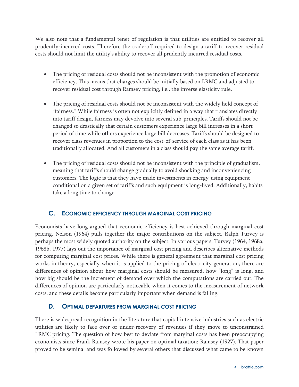We also note that a fundamental tenet of regulation is that utilities are entitled to recover all prudently-incurred costs. Therefore the trade-off required to design a tariff to recover residual costs should not limit the utility's ability to recover all prudently incurred residual costs.

- The pricing of residual costs should not be inconsistent with the promotion of economic efficiency. This means that charges should be initially based on LRMC and adjusted to recover residual cost through Ramsey pricing, i.e., the inverse elasticity rule.
- The pricing of residual costs should not be inconsistent with the widely held concept of "fairness." While fairness is often not explicitly defined in a way that translates directly into tariff design, fairness may devolve into several sub-principles. Tariffs should not be changed so drastically that certain customers experience large bill increases in a short period of time while others experience large bill decreases. Tariffs should be designed to recover class revenues in proportion to the cost-of-service of each class as it has been traditionally allocated. And all customers in a class should pay the same average tariff.
- The pricing of residual costs should not be inconsistent with the principle of gradualism, meaning that tariffs should change gradually to avoid shocking and inconveniencing customers. The logic is that they have made investments in energy-using equipment conditional on a given set of tariffs and such equipment is long-lived. Additionally, habits take a long time to change.

## **C. ECONOMIC EFFICIENCY THROUGH MARGINAL COST PRICING**

Economists have long argued that economic efficiency is best achieved through marginal cost pricing. Nelson (1964) pulls together the major contributions on the subject. Ralph Turvey is perhaps the most widely quoted authority on the subject. In various papers, Turvey (1964, 1968a, 1968b, 1977) lays out the importance of marginal cost pricing and describes alternative methods for computing marginal cost prices. While there is general agreement that marginal cost pricing works in theory, especially when it is applied to the pricing of electricity generation, there are differences of opinion about how marginal costs should be measured, how "long" is long, and how big should be the increment of demand over which the computations are carried out. The differences of opinion are particularly noticeable when it comes to the measurement of network costs, and these details become particularly important when demand is falling.

#### **D. OPTIMAL DEPARTURES FROM MARGINAL COST PRICING**

There is widespread recognition in the literature that capital intensive industries such as electric utilities are likely to face over or under-recovery of revenues if they move to unconstrained LRMC pricing. The question of how best to deviate from marginal costs has been preoccupying economists since Frank Ramsey wrote his paper on optimal taxation: Ramsey (1927). That paper proved to be seminal and was followed by several others that discussed what came to be known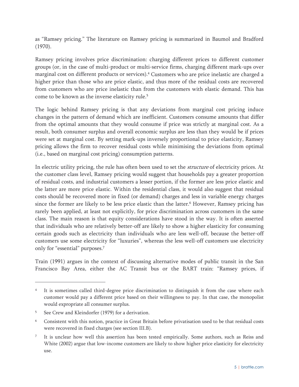as "Ramsey pricing." The literature on Ramsey pricing is summarized in Baumol and Bradford (1970).

Ramsey pricing involves price discrimination: charging different prices to different customer groups (or, in the case of multi-product or multi-service firms, charging different mark-ups over marginal cost on different products or services).<sup>4</sup> Customers who are price inelastic are charged a higher price than those who are price elastic, and thus more of the residual costs are recovered from customers who are price inelastic than from the customers with elastic demand. This has come to be known as the inverse elasticity rule.<sup>5</sup>

The logic behind Ramsey pricing is that any deviations from marginal cost pricing induce changes in the pattern of demand which are inefficient. Customers consume amounts that differ from the optimal amounts that they would consume if price was strictly at marginal cost. As a result, both consumer surplus and overall economic surplus are less than they would be if prices were set at marginal cost. By setting mark-ups inversely proportional to price elasticity, Ramsey pricing allows the firm to recover residual costs while minimising the deviations from optimal (i.e., based on marginal cost pricing) consumption patterns.

In electric utility pricing, the rule has often been used to set the *structure* of electricity prices. At the customer class level, Ramsey pricing would suggest that households pay a greater proportion of residual costs, and industrial customers a lesser portion, if the former are less price elastic and the latter are more price elastic. Within the residential class, it would also suggest that residual costs should be recovered more in fixed (or demand) charges and less in variable energy charges since the former are likely to be less price elastic than the latter.<sup>6</sup> However, Ramsey pricing has rarely been applied, at least not explicitly, for price discrimination across customers in the same class. The main reason is that equity considerations have stood in the way. It is often asserted that individuals who are relatively better-off are likely to show a higher elasticity for consuming certain goods such as electricity than individuals who are less well-off, because the better-off customers use some electricity for "luxuries", whereas the less well-off customers use electricity only for "essential" purposes.<sup>7</sup>

Train (1991) argues in the context of discussing alternative modes of public transit in the San Francisco Bay Area, either the AC Transit bus or the BART train: "Ramsey prices, if

It is sometimes called third-degree price discrimination to distinguish it from the case where each customer would pay a different price based on their willingness to pay. In that case, the monopolist would expropriate all consumer surplus.

<sup>5</sup> See Crew and Kleindorfer (1979) for a derivation.

<sup>6</sup> Consistent with this notion, practice in Great Britain before privatisation used to be that residual costs were recovered in fixed charges (see section III.B).

<sup>&</sup>lt;sup>7</sup> It is unclear how well this assertion has been tested empirically. Some authors, such as Reiss and White (2002) argue that low-income customers are likely to show higher price elasticity for electricity use.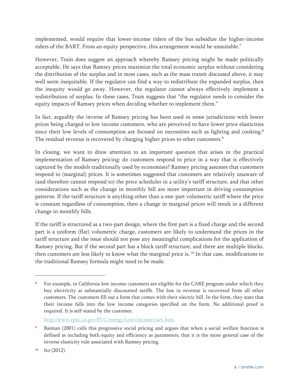implemented, would require that lower-income riders of the bus subsidize the higher-income riders of the BART. From an equity perspective, this arrangement would be unsuitable."

However, Train does suggest an approach whereby Ramsey pricing might be made politically acceptable. He says that Ramsey prices maximize the total economic surplus without considering the distribution of the surplus and in most cases, such as the mass transit discussed above, it may well seem inequitable. If the regulator can find a way to redistribute the expanded surplus, then the inequity would go away. However, the regulator cannot always effectively implement a redistribution of surplus. In these cases, Train suggests that "the regulator needs to consider the equity impacts of Ramsey prices when deciding whether to implement them."

In fact, arguably the inverse of Ramsey pricing has been used in some jurisdictions with lower prices being charged to low income customers, who are perceived to have lower price elasticities since their low levels of consumption are focused on necessities such as lighting and cooking.<sup>8</sup> The residual revenue is recovered by charging higher prices to other customers.<sup>9</sup>

In closing, we want to draw attention to an important question that arises in the practical implementation of Ramsey pricing: do customers respond to price in a way that is effectively captured by the models traditionally used by economists? Ramsey pricing assumes that customers respond to (marginal) prices. It is sometimes suggested that customers are relatively unaware of (and therefore cannot respond to) the price schedules in a utility's tariff structure, and that other considerations such as the change in monthly bill are more important in driving consumption patterns. If the tariff structure is anything other than a one-part volumetric tariff where the price is constant regardless of consumption, then a change in marginal prices will result in a different change in monthly bills.

If the tariff is structured as a two-part design, where the first part is a fixed charge and the second part is a uniform (flat) volumetric charge, customers are likely to understand the prices in the tariff structure and the issue should not pose any meaningful complications for the application of Ramsey pricing. But if the second part has a block tariff structure, and there are multiple blocks, then customers are less likely to know what the marginal price is. 10 In that case, modifications to the traditional Ramsey formula might need to be made.

<sup>&</sup>lt;sup>8</sup> For example, in California low income customers are eligible for the CARE program under which they buy electricity at substantially discounted tariffs. The loss in revenue is recovered from all other customers. The customers fill out a form that comes with their electric bill. In the form, they state that their income falls into the low income categories specified on the form. No additional proof is required. It is self-stated by the customer.

http://www.cpuc.ca.gov/PUC/energy/Low+Income/care.htm.

Baiman (2001) calls this progressive social pricing and argues that when a social welfare function is defined as including both equity and efficiency as parameters, that it is the more general case of the inverse elasticity rule associated with Ramsey pricing.

 $10$  Ito (2012).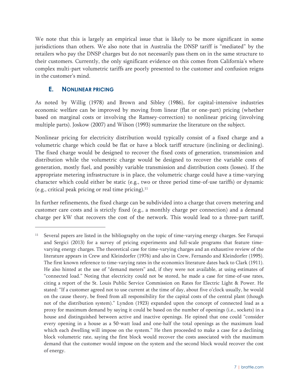We note that this is largely an empirical issue that is likely to be more significant in some jurisdictions than others. We also note that in Australia the DNSP tariff is "mediated" by the retailers who pay the DNSP charges but do not necessarily pass them on in the same structure to their customers. Currently, the only significant evidence on this comes from California's where complex multi-part volumetric tariffs are poorly presented to the customer and confusion reigns in the customer's mind.

## **E. NONLINEAR PRICING**

-

As noted by Willig (1978) and Brown and Sibley (1986), for capital-intensive industries economic welfare can be improved by moving from linear (flat or one-part) pricing (whether based on marginal costs or involving the Ramsey-correction) to nonlinear pricing (involving multiple parts). Joskow (2007) and Wilson (1993) summarize the literature on the subject.

Nonlinear pricing for electricity distribution would typically consist of a fixed charge and a volumetric charge which could be flat or have a block tariff structure (inclining or declining). The fixed charge would be designed to recover the fixed costs of generation, transmission and distribution while the volumetric charge would be designed to recover the variable costs of generation, mostly fuel, and possibly variable transmission and distribution costs (losses). If the appropriate metering infrastructure is in place, the volumetric charge could have a time-varying character which could either be static (e.g., two or three period time-of-use tariffs) or dynamic (e.g., critical peak pricing or real time pricing). $11$ 

In further refinements, the fixed charge can be subdivided into a charge that covers metering and customer care costs and is strictly fixed (e.g., a monthly charge per connection) and a demand charge per kW that recovers the cost of the network. This would lead to a three-part tariff,

<sup>&</sup>lt;sup>11</sup> Several papers are listed in the bibliography on the topic of time-varying energy charges. See Faruqui and Sergici (2013) for a survey of pricing experiments and full-scale programs that feature timevarying energy charges. The theoretical case for time-varying charges and an exhaustive review of the literature appears in Crew and Kleindorfer (1976) and also in Crew, Fernando and Kleindorfer (1995). The first known reference to time-varying rates in the economics literature dates back to Clark (1911). He also hinted at the use of "demand meters" and, if they were not available, at using estimates of "connected load." Noting that electricity could not be stored, he made a case for time-of-use rates, citing a report of the St. Louis Public Service Commission on Rates for Electric Light & Power. He stated: "If a customer agreed not to use current at the time of day, about five o'clock usually, he would on the cause theory, be freed from all responsibility for the capital costs of the central plant (though not of the distribution system)." Lyndon (1923) expanded upon the concept of connected load as a proxy for maximum demand by saying it could be based on the number of openings (i.e., sockets) in a house and distinguished between active and inactive openings. He opined that one could "consider every opening in a house as a 50-watt load and one-half the total openings as the maximum load which each dwelling will impose on the system." He then proceeded to make a case for a declining block volumetric rate, saying the first block would recover the costs associated with the maximum demand that the customer would impose on the system and the second block would recover the cost of energy.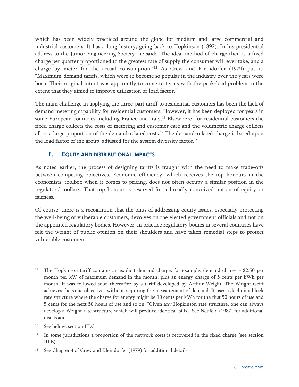which has been widely practiced around the globe for medium and large commercial and industrial customers. It has a long history, going back to Hopkinson (1892). In his presidential address to the Junior Engineering Society, he said: "The ideal method of charge then is a fixed charge per quarter proportioned to the greatest rate of supply the consumer will ever take, and a charge by meter for the actual consumption."12 As Crew and Kleindorfer (1979) put it: "Maximum-demand tariffs, which were to become so popular in the industry over the years were born. Their original intent was apparently to come to terms with the peak-load problem to the extent that they aimed to improve utilization or load factor."

The main challenge in applying the three-part tariff to residential customers has been the lack of demand metering capability for residential customers. However, it has been deployed for years in some European countries including France and Italy.<sup>13</sup> Elsewhere, for residential customers the fixed charge collects the costs of metering and customer care and the volumetric charge collects all or a large proportion of the demand-related costs.14 The demand-related charge is based upon the load factor of the group, adjusted for the system diversity factor.<sup>15</sup>

## **F. EQUITY AND DISTRIBUTIONAL IMPACTS**

As noted earlier, the process of designing tariffs is fraught with the need to make trade-offs between competing objectives. Economic efficiency, which receives the top honours in the economists' toolbox when it comes to pricing, does not often occupy a similar position in the regulators' toolbox. That top honour is reserved for a broadly conceived notion of equity or fairness.

Of course, there is a recognition that the onus of addressing equity issues, especially protecting the well-being of vulnerable customers, devolves on the elected government officials and not on the appointed regulatory bodies. However, in practice regulatory bodies in several countries have felt the weight of public opinion on their shoulders and have taken remedial steps to protect vulnerable customers.

<sup>&</sup>lt;sup>12</sup> The Hopkinson tariff contains an explicit demand charge, for example: demand charge = \$2.50 per month per kW of maximum demand in the month, plus an energy charge of 5 cents per kWh per month. It was followed soon thereafter by a tariff developed by Arthur Wright. The Wright tariff achieves the same objectives without requiring the measurement of demand. It uses a declining block rate structure where the charge for energy might be 10 cents per kWh for the first 50 hours of use and 5 cents for the next 50 hours of use and so on. "Given any Hopkinson rate structure, one can always develop a Wright rate structure which will produce identical bills." See Neufeld (1987) for additional discussion.

<sup>13</sup> See below, section III.C.

<sup>&</sup>lt;sup>14</sup> In some jurisdictions a proportion of the network costs is recovered in the fixed charge (see section III.B).

See Chapter 4 of Crew and Kleindorfer (1979) for additional details.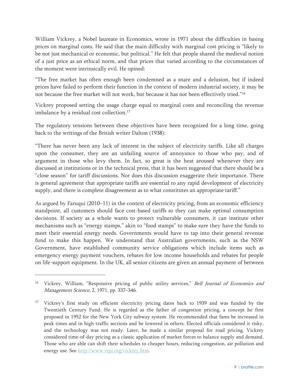William Vickrey, a Nobel laureate in Economics, wrote in 1971 about the difficulties in basing prices on marginal costs. He said that the main difficulty with marginal cost pricing is "likely to be not just mechanical or economic, but political." He felt that people shared the medieval notion of a just price as an ethical norm, and that prices that varied according to the circumstances of the moment were intrinsically evil. He opined:

"The free market has often enough been condemned as a snare and a delusion, but if indeed prices have failed to perform their function in the context of modern industrial society, it may be not because the free market will not work, but because it has not been effectively tried."16

Vickrey proposed setting the usage charge equal to marginal costs and reconciling the revenue imbalance by a residual cost collection.<sup>17</sup>

The regulatory tensions between these objectives have been recognized for a long time, going back to the writings of the British writer Dalton (1938):

"There has never been any lack of interest in the subject of electricity tariffs. Like all charges upon the consumer, they are an unfailing source of annoyance to those who pay, and of argument in those who levy them. In fact, so great is the heat aroused whenever they are discussed at institutions or in the technical press, that it has been suggested that there should be a "close season" for tariff discussions. Nor does this discussion exaggerate their importance. There is general agreement that appropriate tariffs are essential to any rapid development of electricity supply, and there is complete disagreement as to what constitutes an appropriate tariff."

As argued by Faruqui (2010–11) in the context of electricity pricing, from an economic efficiency standpoint, all customers should face cost-based tariffs so they can make optimal consumption decisions. If society as a whole wants to protect vulnerable consumers, it can institute other mechanisms such as "energy stamps," akin to "food stamps" to make sure they have the funds to meet their essential energy needs. Governments would have to tap into their general revenue fund to make this happen. We understand that Australian governments, such as the NSW Government, have established community service obligations which include items such as emergency energy payment vouchers, rebates for low income households and rebates for people on life-support equipment. In the UK, all senior citizens are given an annual payment of between

<sup>&</sup>lt;sup>16</sup> Vickrey, William, "Responsive pricing of public utility services," *Bell Journal of Economics and* Management Science, 2, 1971, pp. 337–346.

<sup>&</sup>lt;sup>17</sup> Vickrey's first study on efficient electricity pricing dates back to 1939 and was funded by the Twentieth Century Fund. He is regarded as the father of congestion pricing, a concept he first proposed in 1952 for the New York City subway system. He recommended that fares be increased in peak times and in high-traffic sections and be lowered in others. Elected officials considered it risky, and the technology was not ready. Later, he made a similar proposal for road pricing. Vickrey considered time-of-day pricing as a classic application of market forces to balance supply and demand. Those who are able can shift their schedules to cheaper hours, reducing congestion, air pollution and energy use. See http://www.vtpi.org/vickrey.htm.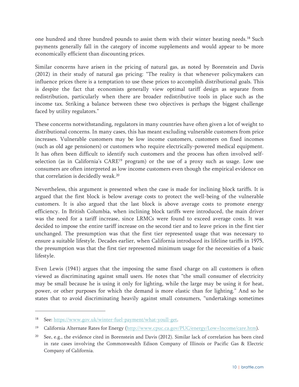one hundred and three hundred pounds to assist them with their winter heating needs.18 Such payments generally fall in the category of income supplements and would appear to be more economically efficient than discounting prices.

Similar concerns have arisen in the pricing of natural gas, as noted by Borenstein and Davis (2012) in their study of natural gas pricing: "The reality is that whenever policymakers can influence prices there is a temptation to use these prices to accomplish distributional goals. This is despite the fact that economists generally view optimal tariff design as separate from redistribution, particularly when there are broader redistributive tools in place such as the income tax. Striking a balance between these two objectives is perhaps the biggest challenge faced by utility regulators."

These concerns notwithstanding, regulators in many countries have often given a lot of weight to distributional concerns. In many cases, this has meant excluding vulnerable customers from price increases. Vulnerable customers may be low income customers, customers on fixed incomes (such as old age pensioners) or customers who require electrically-powered medical equipment. It has often been difficult to identify such customers and the process has often involved selfselection (as in California's CARE<sup>19</sup> program) or the use of a proxy such as usage. Low use consumers are often interpreted as low income customers even though the empirical evidence on that correlation is decidedly weak.20

Nevertheless, this argument is presented when the case is made for inclining block tariffs. It is argued that the first block is below average costs to protect the well-being of the vulnerable customers. It is also argued that the last block is above average costs to promote energy efficiency. In British Columbia, when inclining block tariffs were introduced, the main driver was the need for a tariff increase, since LRMCs were found to exceed average costs. It was decided to impose the entire tariff increase on the second tier and to leave prices in the first tier unchanged. The presumption was that the first tier represented usage that was necessary to ensure a suitable lifestyle. Decades earlier, when California introduced its lifeline tariffs in 1975, the presumption was that the first tier represented minimum usage for the necessities of a basic lifestyle.

Even Lewis (1941) argues that the imposing the same fixed charge on all customers is often viewed as discriminating against small users. He notes that "the small consumer of electricity may be small because he is using it only for lighting, while the large may be using it for heat, power, or other purposes for which the demand is more elastic than for lighting." And so he states that to avoid discriminating heavily against small consumers, "undertakings sometimes

-

<sup>&</sup>lt;sup>18</sup> See: https://www.gov.uk/winter-fuel-payment/what-youll-get.

<sup>&</sup>lt;sup>19</sup> California Alternate Rates for Energy (http://www.cpuc.ca.gov/PUC/energy/Low+Income/care.htm).

<sup>&</sup>lt;sup>20</sup> See, e.g., the evidence cited in Borenstein and Davis (2012). Similar lack of correlation has been cited in rate cases involving the Commonwealth Edison Company of Illinois or Pacific Gas & Electric Company of California.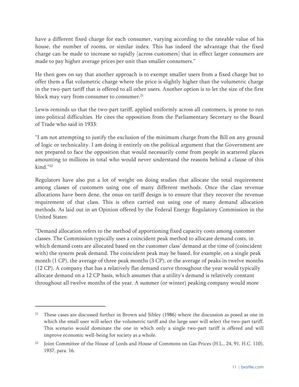have a different fixed charge for each consumer, varying according to the rateable value of his house, the number of rooms, or similar index. This has indeed the advantage that the fixed charge can be made to increase so rapidly [across customers] that in effect larger consumers are made to pay higher average prices per unit than smaller consumers."

He then goes on say that another approach is to exempt smaller users from a fixed charge but to offer them a flat volumetric charge where the price is slightly higher than the volumetric charge in the two-part tariff that is offered to all other users. Another option is to let the size of the first block may vary from consumer to consumer.<sup>21</sup>

Lewis reminds us that the two-part tariff, applied uniformly across all customers, is prone to run into political difficulties. He cites the opposition from the Parliamentary Secretary to the Board of Trade who said in 1933:

"I am not attempting to justify the exclusion of the minimum charge from the Bill on any ground of logic or technicality. I am doing it entirely on the political argument that the Government are not prepared to face the opposition that would necessarily come from people in scattered places amounting to millions in total who would never understand the reasons behind a clause of this kind<sup>"22</sup>

Regulators have also put a lot of weight on doing studies that allocate the total requirement among classes of customers using one of many different methods. Once the class revenue allocations have been dene, the onus on tariff design is to ensure that they recover the revenue requirement of that class. This is often carried out using one of many demand allocation methods. As laid out in an Opinion offered by the Federal Energy Regulatory Commission in the United States:

"Demand allocation refers to the method of apportioning fixed capacity costs among customer classes. The Commission typically uses a coincident peak method to allocate demand costs, in which demand costs are allocated based on the customer class' demand at the time of (coincident with) the system peak demand. The coincident peak may be based, for example, on a single peak month (1 CP), the average of three peak months (3 CP), or the average of peaks in twelve months (12 CP). A company that has a relatively flat demand curve throughout the year would typically allocate demand on a 12 CP basis, which assumes that a utility's demand is relatively constant throughout all twelve months of the year. A summer (or winter) peaking company would more

<sup>&</sup>lt;sup>21</sup> These cases are discussed further in Brown and Sibley (1986) where the discussion as posed as one in which the small user will select the volumetric tariff and the large user will select the two-part tariff. This scenario would dominate the one in which only a single two-part tariff is offered and will improve economic well-being for society as a whole.

<sup>22</sup> Joint Committee of the House of Lords and House of Commons on Gas Prices (H.L., 24, 91, H.C. 110), 1937, para. 16.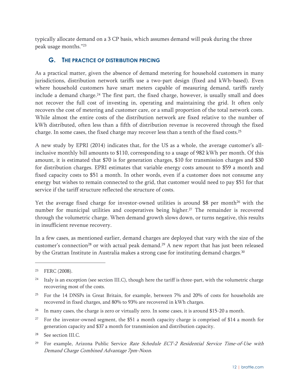typically allocate demand on a 3 CP basis, which assumes demand will peak during the three peak usage months."23

## **G. THE PRACTICE OF DISTRIBUTION PRICING**

As a practical matter, given the absence of demand metering for household customers in many jurisdictions, distribution network tariffs use a two-part design (fixed and kWh-based). Even where household customers have smart meters capable of measuring demand, tariffs rarely include a demand charge.<sup>24</sup> The first part, the fixed charge, however, is usually small and does not recover the full cost of investing in, operating and maintaining the grid. It often only recovers the cost of metering and customer care, or a small proportion of the total network costs. While almost the entire costs of the distribution network are fixed relative to the number of kWh distributed, often less than a fifth of distribution revenue is recovered through the fixed charge. In some cases, the fixed charge may recover less than a tenth of the fixed costs.25

A new study by EPRI (2014) indicates that, for the US as a whole, the average customer's allinclusive monthly bill amounts to \$110, corresponding to a usage of 982 kWh per month. Of this amount, it is estimated that \$70 is for generation charges, \$10 for transmission charges and \$30 for distribution charges. EPRI estimates that variable energy costs amount to \$59 a month and fixed capacity costs to \$51 a month. In other words, even if a customer does not consume any energy but wishes to remain connected to the grid, that customer would need to pay \$51 for that service if the tariff structure reflected the structure of costs.

Yet the average fixed charge for investor-owned utilities is around \$8 per month<sup>26</sup> with the number for municipal utilities and cooperatives being higher.<sup>27</sup> The remainder is recovered through the volumetric charge. When demand growth slows down, or turns negative, this results in insufficient revenue recovery.

In a few cases, as mentioned earlier, demand charges are deployed that vary with the size of the customer's connection<sup>28</sup> or with actual peak demand.<sup>29</sup> A new report that has just been released by the Grattan Institute in Australia makes a strong case for instituting demand charges.<sup>30</sup>

<sup>23</sup> FERC (2008).

<sup>&</sup>lt;sup>24</sup> Italy is an exception (see section III.C), though here the tariff is three-part, with the volumetric charge recovering most of the costs.

<sup>&</sup>lt;sup>25</sup> For the 14 DNSPs in Great Britain, for example, between 7% and 20% of costs for households are recovered in fixed charges, and 80% to 93% are recovered in kWh charges.

<sup>&</sup>lt;sup>26</sup> In many cases, the charge is zero or virtually zero. In some cases, it is around \$15-20 a month.

<sup>&</sup>lt;sup>27</sup> For the investor-owned segment, the \$51 a month capacity charge is comprised of \$14 a month for generation capacity and \$37 a month for transmission and distribution capacity.

<sup>28</sup> See section III.C.

<sup>29</sup> For example, Arizona Public Service Rate Schedule ECT-2 Residential Service Time-of-Use with Demand Charge Combined Advantage 7pm-Noon.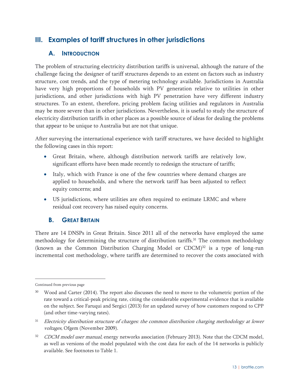## **III. Examples of tariff structures in other jurisdictions**

## **A. INTRODUCTION**

The problem of structuring electricity distribution tariffs is universal, although the nature of the challenge facing the designer of tariff structures depends to an extent on factors such as industry structure, cost trends, and the type of metering technology available. Jurisdictions in Australia have very high proportions of households with PV generation relative to utilities in other jurisdictions, and other jurisdictions with high PV penetration have very different industry structures. To an extent, therefore, pricing problem facing utilities and regulators in Australia may be more severe than in other jurisdictions. Nevertheless, it is useful to study the structure of electricity distribution tariffs in other places as a possible source of ideas for dealing the problems that appear to be unique to Australia but are not that unique.

After surveying the international experience with tariff structures, we have decided to highlight the following cases in this report:

- Great Britain, where, although distribution network tariffs are relatively low, significant efforts have been made recently to redesign the structure of tariffs;
- Italy, which with France is one of the few countries where demand charges are applied to households, and where the network tariff has been adjusted to reflect equity concerns; and
- US jurisdictions, where utilities are often required to estimate LRMC and where residual cost recovery has raised equity concerns.

## **B. GREAT BRITAIN**

There are 14 DNSPs in Great Britain. Since 2011 all of the networks have employed the same methodology for determining the structure of distribution tariffs.<sup>31</sup> The common methodology (known as the Common Distribution Charging Model or  $CDCM$ <sup>32</sup> is a type of long-run incremental cost methodology, where tariffs are determined to recover the costs associated with

-

Continued from previous page

<sup>&</sup>lt;sup>30</sup> Wood and Carter (2014). The report also discusses the need to move to the volumetric portion of the rate toward a critical-peak pricing rate, citing the considerable experimental evidence that is available on the subject. See Faruqui and Sergici (2013) for an updated survey of how customers respond to CPP (and other time-varying rates).

<sup>&</sup>lt;sup>31</sup> Electricity distribution structure of charges: the common distribution charging methodology at lower voltages, Ofgem (November 2009).

<sup>&</sup>lt;sup>32</sup> CDCM model user manual, energy networks association (February 2013). Note that the CDCM model, as well as versions of the model populated with the cost data for each of the 14 networks is publicly available. See footnotes to Table 1.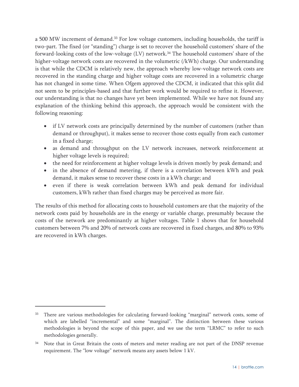a 500 MW increment of demand.<sup>33</sup> For low voltage customers, including households, the tariff is two-part. The fixed (or "standing") charge is set to recover the household customers' share of the forward-looking costs of the low-voltage (LV) network.34 The household customers' share of the higher-voltage network costs are recovered in the volumetric (/kWh) charge. Our understanding is that while the CDCM is relatively new, the approach whereby low-voltage network costs are recovered in the standing charge and higher voltage costs are recovered in a volumetric charge has not changed in some time. When Ofgem approved the CDCM, it indicated that this split did not seem to be principles-based and that further work would be required to refine it. However, our understanding is that no changes have yet been implemented. While we have not found any explanation of the thinking behind this approach, the approach would be consistent with the following reasoning:

- if LV network costs are principally determined by the number of customers (rather than demand or throughput), it makes sense to recover those costs equally from each customer in a fixed charge;
- as demand and throughput on the LV network increases, network reinforcement at higher voltage levels is required;
- the need for reinforcement at higher voltage levels is driven mostly by peak demand; and
- in the absence of demand metering, if there is a correlation between kWh and peak demand, it makes sense to recover these costs in a kWh charge; and
- even if there is weak correlation between kWh and peak demand for individual customers, kWh rather than fixed charges may be perceived as more fair.

The results of this method for allocating costs to household customers are that the majority of the network costs paid by households are in the energy or variable charge, presumably because the costs of the network are predominantly at higher voltages. Table 1 shows that for household customers between 7% and 20% of network costs are recovered in fixed charges, and 80% to 93% are recovered in kWh charges.

<sup>&</sup>lt;sup>33</sup> There are various methodologies for calculating forward-looking "marginal" network costs, some of which are labelled "incremental" and some "marginal". The distinction between these various methodologies is beyond the scope of this paper, and we use the term "LRMC" to refer to such methodologies generally.

Note that in Great Britain the costs of meters and meter reading are not part of the DNSP revenue requirement. The "low voltage" network means any assets below 1 kV.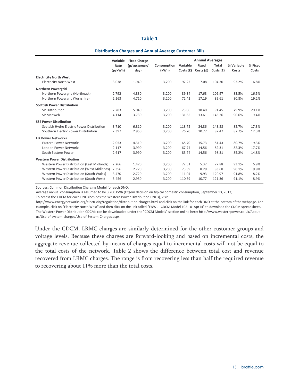#### **Distribution Charges and Annual Average Customer Bills**

|                                            | Variable        | <b>Fixed Charge</b>  | <b>Annual Averages</b> |                      |                      |                      |                     |                  |
|--------------------------------------------|-----------------|----------------------|------------------------|----------------------|----------------------|----------------------|---------------------|------------------|
|                                            | Rate<br>(p/kWh) | (p/customer/<br>day) | Consumption<br>(kWh)   | Variable<br>Costs(f) | Fixed<br>Costs $(f)$ | Total<br>Costs $(f)$ | % Variable<br>Costs | % Fixed<br>Costs |
| <b>Electricity North West</b>              |                 |                      |                        |                      |                      |                      |                     |                  |
| <b>Electricity North West</b>              | 3.038           | 1.940                | 3,200                  | 97.22                | 7.08                 | 104.30               | 93.2%               | 6.8%             |
| <b>Northern Powergrid</b>                  |                 |                      |                        |                      |                      |                      |                     |                  |
| Northern Powergrid (Northeast)             | 2.792           | 4.830                | 3,200                  | 89.34                | 17.63                | 106.97               | 83.5%               | 16.5%            |
| Northern Powergrid (Yorkshire)             | 2.263           | 4.710                | 3,200                  | 72.42                | 17.19                | 89.61                | 80.8%               | 19.2%            |
| <b>Scottish Power Distribution</b>         |                 |                      |                        |                      |                      |                      |                     |                  |
| SP Distribution                            | 2.283           | 5.040                | 3,200                  | 73.06                | 18.40                | 91.45                | 79.9%               | 20.1%            |
| SP Manweb                                  | 4.114           | 3.730                | 3,200                  | 131.65               | 13.61                | 145.26               | 90.6%               | 9.4%             |
| <b>SSE Power Distribution</b>              |                 |                      |                        |                      |                      |                      |                     |                  |
| Scottish Hydro Electric Power Distribution | 3.710           | 6.810                | 3,200                  | 118.72               | 24.86                | 143.58               | 82.7%               | 17.3%            |
| Southern Electric Power Distribution       | 2.397           | 2.950                | 3,200                  | 76.70                | 10.77                | 87.47                | 87.7%               | 12.3%            |
| <b>UK Power Networks</b>                   |                 |                      |                        |                      |                      |                      |                     |                  |
| Eastern Power Networks                     | 2.053           | 4.310                | 3,200                  | 65.70                | 15.73                | 81.43                | 80.7%               | 19.3%            |
| London Power Networks                      | 2.117           | 3.990                | 3,200                  | 67.74                | 14.56                | 82.31                | 82.3%               | 17.7%            |
| South Eastern Power                        | 2.617           | 3.990                | 3,200                  | 83.74                | 14.56                | 98.31                | 85.2%               | 14.8%            |
| <b>Western Power Distribution</b>          |                 |                      |                        |                      |                      |                      |                     |                  |
| Western Power Distribution (East Midlands) | 2.266           | 1.470                | 3,200                  | 72.51                | 5.37                 | 77.88                | 93.1%               | 6.9%             |
| Western Power Distribution (West Midlands) | 2.356           | 2.270                | 3,200                  | 75.39                | 8.29                 | 83.68                | 90.1%               | 9.9%             |
| Western Power Distribution (South Wales)   | 3.470           | 2.720                | 3,200                  | 111.04               | 9.93                 | 120.97               | 91.8%               | 8.2%             |
| Western Power Distribution (South West)    | 3.456           | 2.950                | 3,200                  | 110.59               | 10.77                | 121.36               | 91.1%               | 8.9%             |

Sources: Common Distribution Charging Model for each DNO.

Average annual consumption is assumed to be 3,200 kWh (Ofgem decision on typical domestic consumption, September 13, 2013).

To access the CDCM for each DNO (besides the Western Power Distribution DNOs), visit

http://www.energynetworks.org/electricity/regulation/distribution‐charges.html and click on the link for each DNO at the bottom of the webpage. For example, click on "Electricity North West" and then click on the link called "ENWL ‐ CDCM Model 102 ‐ 01Apr14" to download the CDCM spreadsheet. The Western Power Distribution CDCMs can be downloaded under the "CDCM Models" section online here: http://www.westernpower.co.uk/About‐ us/Use‐of‐system‐charges/Use‐of‐System‐Charges.aspx.

Under the CDCM, LRMC charges are similarly determined for the other customer groups and voltage levels. Because these charges are forward-looking and based on incremental costs, the aggregate revenue collected by means of charges equal to incremental costs will not be equal to the total costs of the network. Table 2 shows the difference between total cost and revenue recovered from LRMC charges. The range is from recovering less than half the required revenue to recovering about 11% more than the total costs.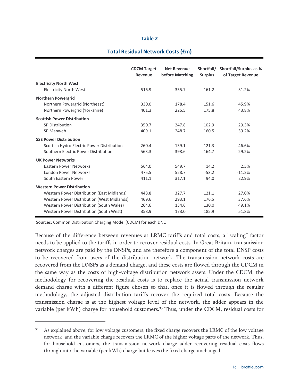#### **Total Residual Network Costs (£m)**

|                                            | <b>CDCM Target</b><br>Revenue | <b>Net Revenue</b><br>before Matching | Shortfall/<br><b>Surplus</b> | <b>Shortfall/Surplus as %</b><br>of Target Revenue |
|--------------------------------------------|-------------------------------|---------------------------------------|------------------------------|----------------------------------------------------|
| <b>Electricity North West</b>              |                               |                                       |                              |                                                    |
| <b>Electricity North West</b>              | 516.9                         | 355.7                                 | 161.2                        | 31.2%                                              |
| <b>Northern Powergrid</b>                  |                               |                                       |                              |                                                    |
| Northern Powergrid (Northeast)             | 330.0                         | 178.4                                 | 151.6                        | 45.9%                                              |
| Northern Powergrid (Yorkshire)             | 401.3                         | 225.5                                 | 175.8                        | 43.8%                                              |
| <b>Scottish Power Distribution</b>         |                               |                                       |                              |                                                    |
| <b>SP Distribution</b>                     | 350.7                         | 247.8                                 | 102.9                        | 29.3%                                              |
| SP Manweb                                  | 409.1                         | 248.7                                 | 160.5                        | 39.2%                                              |
| <b>SSE Power Distribution</b>              |                               |                                       |                              |                                                    |
| Scottish Hydro Electric Power Distribution | 260.4                         | 139.1                                 | 121.3                        | 46.6%                                              |
| Southern Electric Power Distribution       | 563.3                         | 398.6                                 | 164.7                        | 29.2%                                              |
| <b>UK Power Networks</b>                   |                               |                                       |                              |                                                    |
| <b>Fastern Power Networks</b>              | 564.0                         | 549.7                                 | 14.2                         | 2.5%                                               |
| <b>London Power Networks</b>               | 475.5                         | 528.7                                 | $-53.2$                      | $-11.2%$                                           |
| South Eastern Power                        | 411.1                         | 317.1                                 | 94.0                         | 22.9%                                              |
| <b>Western Power Distribution</b>          |                               |                                       |                              |                                                    |
| Western Power Distribution (East Midlands) | 448.8                         | 327.7                                 | 121.1                        | 27.0%                                              |
| Western Power Distribution (West Midlands) | 469.6                         | 293.1                                 | 176.5                        | 37.6%                                              |
| Western Power Distribution (South Wales)   | 264.6                         | 134.6                                 | 130.0                        | 49.1%                                              |
| Western Power Distribution (South West)    | 358.9                         | 173.0                                 | 185.9                        | 51.8%                                              |

Sources: Common Distribution Charging Model (CDCM) for each DNO.

-

Because of the difference between revenues at LRMC tariffs and total costs, a "scaling" factor needs to be applied to the tariffs in order to recover residual costs. In Great Britain, transmission network charges are paid by the DNSPs, and are therefore a component of the total DNSP costs to be recovered from users of the distribution network. The transmission network costs are recovered from the DNSPs as a demand charge, and these costs are flowed through the CDCM in the same way as the costs of high-voltage distribution network assets. Under the CDCM, the methodology for recovering the residual costs is to replace the actual transmission network demand charge with a different figure chosen so that, once it is flowed through the regular methodology, the adjusted distribution tariffs recover the required total costs. Because the transmission charge is at the highest voltage level of the network, the adder appears in the variable (per kWh) charge for household customers.<sup>35</sup> Thus, under the CDCM, residual costs for

As explained above, for low voltage customers, the fixed charge recovers the LRMC of the low voltage network, and the variable charge recovers the LRMC of the higher voltage parts of the network. Thus, for household customers, the transmission network charge adder recovering residual costs flows through into the variable (per kWh) charge but leaves the fixed charge unchanged.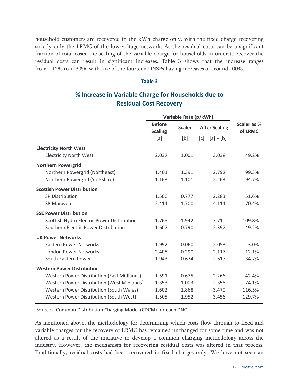household customers are recovered in the kWh charge only, with the fixed charge recovering strictly only the LRMC of the low-voltage network. As the residual costs can be a significant fraction of total costs, the scaling of the variable charge for households in order to recover the residual costs can result in significant increases. Table 3 shows that the increase ranges from  $-12\%$  to  $+130\%$ , with five of the fourteen DNSPs having increases of around 100%.

#### **Table 3**

## **% Increase in Variable Charge for Households due to Residual Cost Recovery**

|                                                   | Variable Rate (p/kWh)           |               |                      |                        |
|---------------------------------------------------|---------------------------------|---------------|----------------------|------------------------|
|                                                   | <b>Before</b><br><b>Scaling</b> | <b>Scaler</b> | <b>After Scaling</b> | Scaler as %<br>of LRMC |
|                                                   | [a]                             | [b]           | $[c] = [a] + [b]$    |                        |
| <b>Electricity North West</b>                     |                                 |               |                      |                        |
| <b>Electricity North West</b>                     | 2.037                           | 1.001         | 3.038                | 49.2%                  |
| <b>Northern Powergrid</b>                         |                                 |               |                      |                        |
| Northern Powergrid (Northeast)                    | 1.401                           | 1.391         | 2.792                | 99.3%                  |
| Northern Powergrid (Yorkshire)                    | 1.163                           | 1.101         | 2.263                | 94.7%                  |
| <b>Scottish Power Distribution</b>                |                                 |               |                      |                        |
| <b>SP Distribution</b>                            | 1.506                           | 0.777         | 2.283                | 51.6%                  |
| SP Manweb                                         | 2.414                           | 1.700         | 4.114                | 70.4%                  |
| <b>SSE Power Distribution</b>                     |                                 |               |                      |                        |
| Scottish Hydro Electric Power Distribution        | 1.768                           | 1.942         | 3.710                | 109.8%                 |
| Southern Electric Power Distribution              | 1.607                           | 0.790         | 2.397                | 49.2%                  |
| <b>UK Power Networks</b>                          |                                 |               |                      |                        |
| <b>Eastern Power Networks</b>                     | 1.992                           | 0.060         | 2.053                | 3.0%                   |
| London Power Networks                             | 2.408                           | $-0.290$      | 2.117                | $-12.1%$               |
| South Eastern Power                               | 1.943                           | 0.674         | 2.617                | 34.7%                  |
| <b>Western Power Distribution</b>                 |                                 |               |                      |                        |
| <b>Western Power Distribution (East Midlands)</b> | 1.591                           | 0.675         | 2.266                | 42.4%                  |
| Western Power Distribution (West Midlands)        | 1.353                           | 1.003         | 2.356                | 74.1%                  |
| Western Power Distribution (South Wales)          | 1.602                           | 1.868         | 3.470                | 116.5%                 |
| Western Power Distribution (South West)           | 1.505                           | 1.952         | 3.456                | 129.7%                 |

Sources: Common Distribution Charging Model (CDCM) for each DNO.

As mentioned above, the methodology for determining which costs flow through to fixed and variable charges for the recovery of LRMC has remained unchanged for some time and was not altered as a result of the initiative to develop a common charging methodology across the industry. However, the mechanism for recovering residual costs was altered in that process. Traditionally, residual costs had been recovered in fixed charges only. We have not seen an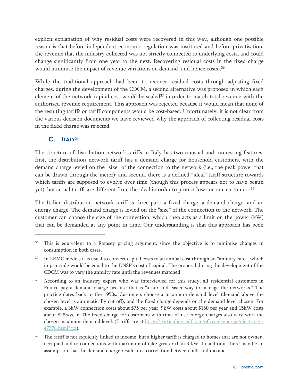explicit explanation of why residual costs were recovered in this way, although one possible reason is that before independent economic regulation was instituted and before privatisation, the revenue that the industry collected was not strictly connected to underlying costs, and could change significantly from one year to the next. Recovering residual costs in the fixed charge would minimise the impact of revenue variations on demand (and hence costs).<sup>36</sup>

While the traditional approach had been to recover residual costs through adjusting fixed charges, during the development of the CDCM, a second alternative was proposed in which each element of the network capital cost would be scaled<sup>37</sup> in order to match total revenue with the authorised revenue requirement. This approach was rejected because it would mean that none of the resulting tariffs or tariff components would be cost-based. Unfortunately, it is not clear from the various decision documents we have reviewed why the approach of collecting residual costs in the fixed charge was rejected.

## **C. ITALY**<sup>38</sup>

 $\overline{a}$ 

The structure of distribution network tariffs in Italy has two unusual and interesting features: first, the distribution network tariff has a demand charge for household customers, with the demand charge levied on the "size" of the connection to the network (i.e., the peak power that can be drawn through the meter); and second, there is a defined "ideal" tariff structure towards which tariffs are supposed to evolve over time (though this process appears not to have begun yet), but actual tariffs are different from the ideal in order to protect low-income customers.39

The Italian distribution network tariff is three-part: a fixed charge, a demand charge, and an energy charge. The demand charge is levied on the "size" of the connection to the network. The customer can choose the size of the connection, which then acts as a limit on the power (kW) that can be demanded at any point in time. Our understanding is that this approach has been

This is equivalent to a Ramsey pricing argument, since the objective is to minimise changes in consumption in both cases.

<sup>&</sup>lt;sup>37</sup> In LRMC models it is usual to convert capital costs to an annual cost through an "annuity rate", which in principle would be equal to the DNSP's cost of capital. The proposal during the development of the CDCM was to vary the annuity rate until the revenues matched.

<sup>&</sup>lt;sup>38</sup> According to an industry expert who was interviewed for this study, all residential customers in France pay a demand charge because that is "a fair and easier way to manage the networks." The practice dates back to the 1950s. Customers choose a maximum demand level (demand above the chosen level is automatically cut off), and the fixed charge depends on the demand level chosen. For example, a 3kW connection costs about \$75 per year, 9kW costs about \$160 per year and 15kW costs about \$285/year. The fixed charge for customers with time-of-use energy charges also vary with the chosen maximum demand level. (Tariffs are at https://particuliers.edf.com/offres-d-energie/electricite-47378.html?gcl).

<sup>&</sup>lt;sup>39</sup> The tariff is not explicitly linked to income, but a higher tariff is charged to homes that are not owneroccupied and to connections with maximum offtake greater than 3 kW. In addition, there may be an assumption that the demand charge results in a correlation between bills and income.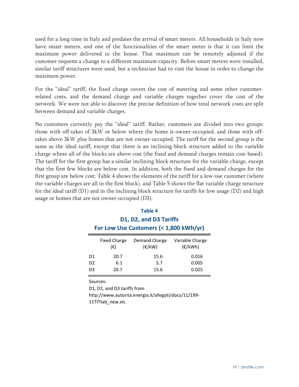used for a long time in Italy and predates the arrival of smart meters. All households in Italy now have smart meters, and one of the functionalities of the smart meter is that it can limit the maximum power delivered to the house. That maximum can be remotely adjusted if the customer requests a change to a different maximum capacity. Before smart meters were installed, similar tariff structures were used, but a technician had to visit the house in order to change the maximum power.

For the "ideal" tariff, the fixed charge covers the cost of metering and some other customerrelated costs, and the demand charge and variable charges together cover the cost of the network. We were not able to discover the precise definition of how total network costs are split between demand and variable charges.

No customers currently pay the "ideal" tariff. Rather, customers are divided into two groups: those with off-takes of 3kW or below where the home is owner-occupied, and those with offtakes above 3kW plus homes that are not owner-occupied. The tariff for the second group is the same as the ideal tariff, except that there is an inclining-block structure added to the variable charge where all of the blocks are above cost (the fixed and demand charges remain cost-based). The tariff for the first group has a similar inclining block structure for the variable charge, except that the first few blocks are below cost. In addition, both the fixed and demand charges for the first group are below cost. Table 4 shows the elements of the tariff for a low-use customer (where the variable charges are all in the first block), and Table 5 shows the flat variable charge structure for the ideal tariff (D1) and in the inclining block structure for tariffs for low usage (D2) and high usage or homes that are not owner-occupied (D3).

| Table 4                                |  |
|----------------------------------------|--|
| D1, D2, and D3 Tariffs                 |  |
| For Low Use Customers (< 1,800 kWh/yr) |  |

|                | <b>Fixed Charge</b><br>(€) | Demand Charge<br>$(\varepsilon$ /kW) | Variable Charge<br>$(\epsilon/kWh)$ |  |  |
|----------------|----------------------------|--------------------------------------|-------------------------------------|--|--|
| D1             | 20.7                       | 15.6                                 | 0.016                               |  |  |
| D <sub>2</sub> | 6.1                        | 5.7                                  | 0.005                               |  |  |
| D <sub>3</sub> | 20.7                       | 15.6                                 | 0.025                               |  |  |

Sources:

D1, D2, and D3 tariffs from

http://www.autorita.energia.it/allegati/docs/11/199‐ 11TITtab\_new.xls.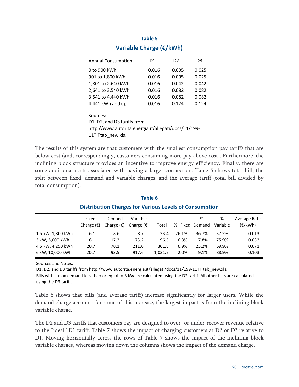| Variable Charge (€/kWh)   |       |                |       |  |  |  |  |  |
|---------------------------|-------|----------------|-------|--|--|--|--|--|
| <b>Annual Consumption</b> | D1    | D <sub>2</sub> | D3    |  |  |  |  |  |
| 0 to 900 kWh              | 0.016 | 0.005          | 0.025 |  |  |  |  |  |
| 901 to 1,800 kWh          | 0.016 | 0.005          | 0.025 |  |  |  |  |  |
| 1,801 to 2,640 kWh        | 0.016 | 0.042          | 0.042 |  |  |  |  |  |
| 2,641 to 3,540 kWh        | 0.016 | 0.082          | 0.082 |  |  |  |  |  |
| 3,541 to 4,440 kWh        | 0.016 | 0.082          | 0.082 |  |  |  |  |  |
| 4,441 kWh and up          | 0.016 | 0.124          | 0.124 |  |  |  |  |  |

| lable 5                 |  |
|-------------------------|--|
| Variable Charge (€/kWh) |  |

Sources:

D1, D2, and D3 tariffs from http://www.autorita.energia.it/allegati/docs/11/199‐

11TITtab\_new.xls.

The results of this system are that customers with the smallest consumption pay tariffs that are below cost (and, correspondingly, customers consuming more pay above cost). Furthermore, the inclining block structure provides an incentive to improve energy efficiency. Finally, there are some additional costs associated with having a larger connection. Table 6 shows total bill, the split between fixed, demand and variable charges, and the average tariff (total bill divided by total consumption).

|                   | Fixed<br>Charge $(\epsilon)$ | Demand<br>Charge $(\epsilon)$ | Variable<br>Charge $(\epsilon)$ | Total   | % Fixed Demand | %     | ℅<br>Variable | Average Rate<br>(E/kWh) |
|-------------------|------------------------------|-------------------------------|---------------------------------|---------|----------------|-------|---------------|-------------------------|
| 1.5 kW, 1,800 kWh | 6.1                          | 8.6                           | 8.7                             | 23.4    | 26.1%          | 36.7% | 37.2%         | 0.013                   |
| 3 kW, 3,000 kWh   | 6.1                          | 17.2                          | 73.2                            | 96.5    | 6.3%           | 17.8% | 75.9%         | 0.032                   |
| 4.5 kW, 4,250 kWh | 20.7                         | 70.1                          | 211.0                           | 301.8   | 6.9%           | 23.2% | 69.9%         | 0.071                   |
| 6 kW, 10,000 kWh  | 20.7                         | 93.5                          | 917.6                           | 1,031.7 | 2.0%           | 9.1%  | 88.9%         | 0.103                   |

## **Table 6 Distribution Charges for Various Levels of Consumption**

Sources and Notes:

D1, D2, and D3 tariffs from http://www.autorita.energia.it/allegati/docs/11/199-11TITtab\_new.xls. Bills with a max demand less than or equal to 3 kW are calculated using the D2 tariff. All other bills are calculated using the D3 tariff.

Table 6 shows that bills (and average tariff) increase significantly for larger users. While the demand charge accounts for some of this increase, the largest impact is from the inclining block variable charge.

The D2 and D3 tariffs that customers pay are designed to over- or under-recover revenue relative to the "ideal" D1 tariff. Table 7 shows the impact of charging customers at D2 or D3 relative to D1. Moving horizontally across the rows of Table 7 shows the impact of the inclining block variable charges, whereas moving down the columns shows the impact of the demand charge.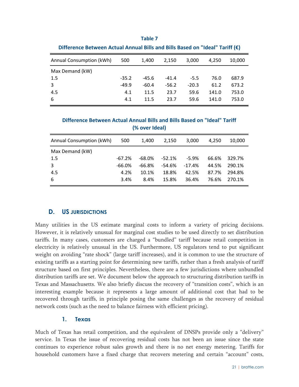| Difference Between Actual Annual Bills and Bills Based on "Ideal" Tariff (€) |         |         |         |         |       |        |  |  |
|------------------------------------------------------------------------------|---------|---------|---------|---------|-------|--------|--|--|
| Annual Consumption (kWh)                                                     | 500     | 1.400   | 2,150   | 3.000   | 4.250 | 10.000 |  |  |
| Max Demand (kW)                                                              |         |         |         |         |       |        |  |  |
| 1.5                                                                          | $-35.2$ | $-45.6$ | $-41.4$ | $-5.5$  | 76.0  | 687.9  |  |  |
| 3                                                                            | $-49.9$ | $-60.4$ | $-56.2$ | $-20.3$ | 61.2  | 673.2  |  |  |
| 4.5                                                                          | 4.1     | 11.5    | 23.7    | 59.6    | 141.0 | 753.0  |  |  |
| -6                                                                           | 4.1     | 11.5    | 23.7    | 59.6    | 141.0 | 753.0  |  |  |

**Table 7**

**Difference Between Actual Annual Bills and Bills Based on "Ideal" Tariff (% over Ideal)**

| Annual Consumption (kWh) | 500       | 1.400     | 2,150    | 3.000    | 4.250 | 10.000 |
|--------------------------|-----------|-----------|----------|----------|-------|--------|
| Max Demand (kW)          |           |           |          |          |       |        |
| 1.5                      | $-67.2%$  | $-68.0\%$ | $-52.1%$ | $-5.9%$  | 66.6% | 329.7% |
| 3                        | $-66.0\%$ | $-66.8%$  | $-54.6%$ | $-17.4%$ | 44.5% | 290.1% |
| 4.5                      | 4.2%      | 10.1%     | 18.8%    | 42.5%    | 87.7% | 294.8% |
| -6                       | 3.4%      | 8.4%      | 15.8%    | 36.4%    | 76.6% | 270.1% |

## **D. US JURISDICTIONS**

Many utilities in the US estimate marginal costs to inform a variety of pricing decisions. However, it is relatively unusual for marginal cost studies to be used directly to set distribution tariffs. In many cases, customers are charged a "bundled" tariff because retail competition in electricity is relatively unusual in the US. Furthermore, US regulators tend to put significant weight on avoiding "rate shock" (large tariff increases), and it is common to use the structure of existing tariffs as a starting point for determining new tariffs, rather than a fresh analysis of tariff structure based on first principles. Nevertheless, there are a few jurisdictions where unbundled distribution tariffs are set. We document below the approach to structuring distribution tariffs in Texas and Massachusetts. We also briefly discuss the recovery of "transition costs", which is an interesting example because it represents a large amount of additional cost that had to be recovered through tariffs, in principle posing the same challenges as the recovery of residual network costs (such as the need to balance fairness with efficient pricing).

#### **1. Texas**

Much of Texas has retail competition, and the equivalent of DNSPs provide only a "delivery" service. In Texas the issue of recovering residual costs has not been an issue since the state continues to experience robust sales growth and there is no net energy metering. Tariffs for household customers have a fixed charge that recovers metering and certain "account" costs,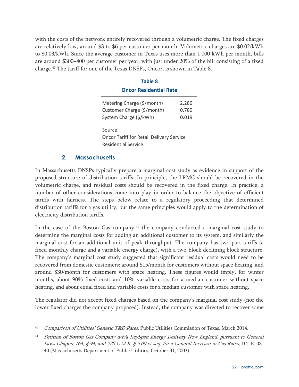with the costs of the network entirely recovered through a volumetric charge. The fixed charges are relatively low, around \$3 to \$6 per customer per month. Volumetric charges are \$0.02/kWh to \$0.03/kWh. Since the average customer in Texas uses more than 1,000 kWh per month, bills are around \$300–400 per customer per year, with just under 20% of the bill consisting of a fixed charge.40 The tariff for one of the Texas DNSPs, Oncor, is shown in Table 8.

| <b>Table 8</b>                                                                     |                         |
|------------------------------------------------------------------------------------|-------------------------|
| <b>Oncor Residential Rate</b>                                                      |                         |
| Metering Charge (\$/month)<br>Customer Charge (\$/month)<br>System Charge (\$/kWh) | 2.280<br>0.780<br>0.019 |
| Source:<br><b>Oncor Tariff for Retail Delivery Service</b><br>Residential Service. |                         |

#### **2. Massachusetts**

-

In Massachusetts DNSPs typically prepare a marginal cost study as evidence in support of the proposed structure of distribution tariffs. In principle, the LRMC should be recovered in the volumetric charge, and residual costs should be recovered in the fixed charge. In practice, a number of other considerations come into play in order to balance the objective of efficient tariffs with fairness. The steps below relate to a regulatory proceeding that determined distribution tariffs for a gas utility, but the same principles would apply to the determination of electricity distribution tariffs.

In the case of the Boston Gas company, $4<sup>1</sup>$  the company conducted a marginal cost study to determine the marginal costs for adding an additional customer to its system, and similarly the marginal cost for an additional unit of peak throughput. The company has two-part tariffs (a fixed monthly charge and a variable energy charge), with a two-block declining block structure. The company's marginal cost study suggested that significant residual costs would need to be recovered from domestic customers: around \$15/month for customers without space heating, and around \$30/month for customers with space heating. These figures would imply, for winter months, about 90% fixed costs and 10% variable costs for a median customer without space heating, and about equal fixed and variable costs for a median customer with space heating.

The regulator did not accept fixed charges based on the company's marginal cost study (nor the lower fixed charges the company proposed). Instead, the company was directed to recover some

<sup>&</sup>lt;sup>40</sup> Comparison of Utilities' Generic T&D Rates, Public Utilities Commission of Texas, March 2014.

<sup>&</sup>lt;sup>41</sup> Petition of Boston Gas Company d/b/a KeySpan Energy Delivery New England, pursuant to General Laws Chapter 164, § 94, and 220 C.M.R. § 5.00 et seq. for a General Increase in Gas Rates, D.T.E. 03-40 (Massachusetts Department of Public Utilities, October 31, 2003).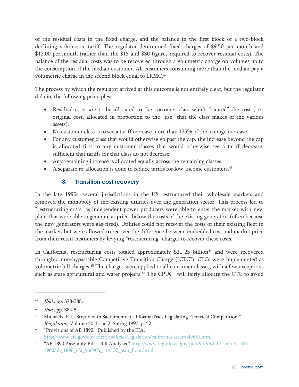of the residual costs in the fixed charge, and the balance in the first block of a two-block declining volumetric tariff. The regulator determined fixed charges of \$9.50 per month and \$12.00 per month (rather than the \$15 and \$30 figures required to recover residual costs). The balance of the residual costs was to be recovered through a volumetric charge on volumes up to the consumption of the median customer. All customers consuming more than the median pay a volumetric charge in the second block equal to LRMC.<sup>42</sup>

The process by which the regulator arrived at this outcome is not entirely clear, but the regulator did cite the following principles:

- Residual costs are to be allocated to the customer class which "caused" the cost (i.e., original cost, allocated in proportion to the "use" that the class makes of the various assets).
- No customer class is to see a tariff increase more than 125% of the average increase.
- For any customer class that would otherwise go past the cap, the increase beyond the cap is allocated first to any customer classes that would otherwise see a tariff decrease, sufficient that tariffs for that class do not decrease.
- Any remaining increase is allocated equally across the remaining classes.
- A separate re-allocation is done to reduce tariffs for low-income customers.<sup>43</sup>

## **3. Transition cost recovery**

In the late 1990s, several jurisdictions in the US restructured their wholesale markets and removed the monopoly of the existing utilities over the generation sector. This process led to "restructuring costs" as independent power producers were able to enter the market with new plant that were able to generate at prices below the costs of the existing generators (often because the new generators were gas-fired). Utilities could not recover the costs of their existing fleet in the market, but were allowed to recover the difference between embedded cost and market price from their retail customers by levying "restructuring" charges to recover these costs.

In California, restructuring costs totaled approximately  $$21-25$  billion<sup>44</sup> and were recovered through a non-bypassable Competitive Transition Charge ("CTC"). CTCs were implemented as volumetric bill charges.45 The charges were applied to all consumer classes, with a few exceptions such as state agricultural and water projects.<sup>46</sup> The CPUC "will fairly allocate the CTC to avoid

-

<sup>42</sup> *Ibid.*, pp. 378-388.

<sup>43</sup> Ibid., pp. 384-5.

<sup>44</sup> Michaels, R.J. "Stranded in Sacramento: California Tries Legislating Electrical Competition." Regulation, Volume 20, Issue 2, Spring 1997, p. 52.

<sup>45 &</sup>quot;Provisions of AB 1890." Published by the EIA. http://www.eia.gov/electricity/policies/legislation/california/assemblybill.html.

<sup>46 &</sup>quot;AB 1890 Assembly Bill – Bill Analysis." http://www.leginfo.ca.gov/pub/95-96/bill/asm/ab\_1851- 1900/ab\_1890\_cfa\_960905\_114137\_asm\_floor.html.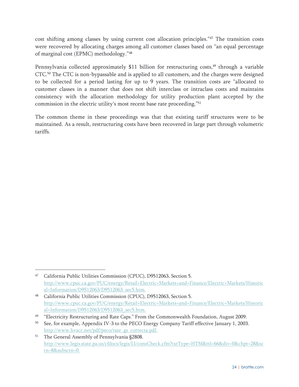cost shifting among classes by using current cost allocation principles."47 The transition costs were recovered by allocating charges among all customer classes based on "an equal percentage of marginal cost (EPMC) methodology."48

Pennsylvania collected approximately \$11 billion for restructuring costs,<sup>49</sup> through a variable CTC.50 The CTC is non-bypassable and is applied to all customers, and the charges were designed to be collected for a period lasting for up to 9 years. The transition costs are "allocated to customer classes in a manner that does not shift interclass or intraclass costs and maintains consistency with the allocation methodology for utility production plant accepted by the commission in the electric utility's most recent base rate proceeding."51

The common theme in these proceedings was that that existing tariff structures were to be maintained. As a result, restructuring costs have been recovered in large part through volumetric tariffs.

<sup>47</sup> California Public Utilities Commission (CPUC), D9512063, Section 5. http://www.cpuc.ca.gov/PUC/energy/Retail+Electric+Markets+and+Finance/Electric+Markets/Historic al+Information/D9512063/D9512063\_sec5.htm.

<sup>48</sup> California Public Utilities Commission (CPUC), D9512063, Section 5. http://www.cpuc.ca.gov/PUC/energy/Retail+Electric+Markets+and+Finance/Electric+Markets/Historic al+Information/D9512063/D9512063\_sec5.htm.

<sup>&</sup>lt;sup>49</sup> "Electricity Restructuring and Rate Caps." From the Commonwealth Foundation, August 2009.

<sup>50</sup> See, for example, Appendix IV-3 to the PECO Energy Company Tariff effective January 1, 2003. http://www.hvacc.net/pdf/peco/rate\_gs\_correcta.pdf.

<sup>&</sup>lt;sup>51</sup> The General Assembly of Pennsylvania §2808. http://www.legis.state.pa.us/cfdocs/legis/LI/consCheck.cfm?txtType=HTM&ttl=66&div=0&chpt=28&sc tn=8&subsctn=0.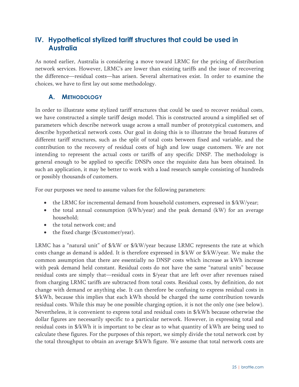## **IV. Hypothetical stylized tariff structures that could be used in Australia**

As noted earlier, Australia is considering a move toward LRMC for the pricing of distribution network services. However, LRMC's are lower than existing tariffs and the issue of recovering the difference—residual costs—has arisen. Several alternatives exist. In order to examine the choices, we have to first lay out some methodology.

## **A. METHODOLOGY**

In order to illustrate some stylized tariff structures that could be used to recover residual costs, we have constructed a simple tariff design model. This is constructed around a simplified set of parameters which describe network usage across a small number of prototypical customers, and describe hypothetical network costs. Our goal in doing this is to illustrate the broad features of different tariff structures, such as the split of total costs between fixed and variable, and the contribution to the recovery of residual costs of high and low usage customers. We are not intending to represent the actual costs or tariffs of any specific DNSP. The methodology is general enough to be applied to specific DNSPs once the requisite data has been obtained. In such an application, it may be better to work with a load research sample consisting of hundreds or possibly thousands of customers.

For our purposes we need to assume values for the following parameters:

- the LRMC for incremental demand from household customers, expressed in \$/kW/year;
- the total annual consumption  $(kWh/year)$  and the peak demand  $(kW)$  for an average household;
- the total network cost; and
- the fixed charge (\$/customer/year).

LRMC has a "natural unit" of  $\frac{1}{8}$ /kW or  $\frac{1}{8}$ /kW/year because LRMC represents the rate at which costs change as demand is added. It is therefore expressed in \$/kW or \$/kW/year. We make the common assumption that there are essentially no DNSP costs which increase as kWh increase with peak demand held constant. Residual costs do not have the same "natural units" because residual costs are simply that—residual costs in \$/year that are left over after revenues raised from charging LRMC tariffs are subtracted from total costs. Residual costs, by definition, do not change with demand or anything else. It can therefore be confusing to express residual costs in \$/kWh, because this implies that each kWh should be charged the same contribution towards residual costs. While this may be one possible charging option, it is not the only one (see below). Nevertheless, it is convenient to express total and residual costs in \$/kWh because otherwise the dollar figures are necessarily specific to a particular network. However, in expressing total and residual costs in \$/kWh it is important to be clear as to what quantity of kWh are being used to calculate these figures. For the purposes of this report, we simply divide the total network cost by the total throughput to obtain an average \$/kWh figure. We assume that total network costs are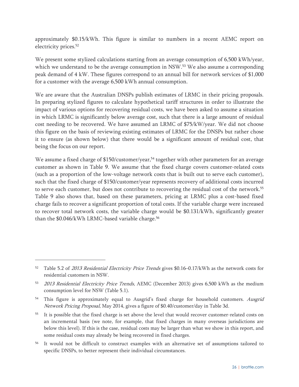approximately \$0.15/kWh. This figure is similar to numbers in a recent AEMC report on electricity prices.<sup>52</sup>

We present some stylized calculations starting from an average consumption of 6,500 kWh/year, which we understand to be the average consumption in NSW.<sup>53</sup> We also assume a corresponding peak demand of 4 kW. These figures correspond to an annual bill for network services of \$1,000 for a customer with the average 6,500 kWh annual consumption.

We are aware that the Australian DNSPs publish estimates of LRMC in their pricing proposals. In preparing stylized figures to calculate hypothetical tariff structures in order to illustrate the impact of various options for recovering residual costs, we have been asked to assume a situation in which LRMC is significantly below average cost, such that there is a large amount of residual cost needing to be recovered. We have assumed an LRMC of \$75/kW/year. We did not choose this figure on the basis of reviewing existing estimates of LRMC for the DNSPs but rather chose it to ensure (as shown below) that there would be a significant amount of residual cost, that being the focus on our report.

We assume a fixed charge of \$150/customer/year,<sup>54</sup> together with other parameters for an average customer as shown in Table 9. We assume that the fixed charge covers customer-related costs (such as a proportion of the low-voltage network costs that is built out to serve each customer), such that the fixed charge of \$150/customer/year represents recovery of additional costs incurred to serve each customer, but does not contribute to recovering the residual cost of the network.55 Table 9 also shows that, based on these parameters, pricing at LRMC plus a cost-based fixed charge fails to recover a significant proportion of total costs. If the variable charge were increased to recover total network costs, the variable charge would be \$0.131/kWh, significantly greater than the  $$0.046/kWh$  LRMC-based variable charge.<sup>56</sup>

-

<sup>&</sup>lt;sup>52</sup> Table 5.2 of 2013 Residential Electricity Price Trends gives \$0.16–0.17/kWh as the network costs for residential customers in NSW.

<sup>53</sup> *2013 Residential Electricity Price Trends*, AEMC (December 2013) gives 6,500 kWh as the medium consumption level for NSW (Table 5.1).

<sup>&</sup>lt;sup>54</sup> This figure is approximately equal to Ausgrid's fixed charge for household customers. Ausgrid Network Pricing Proposal, May 2014, gives a figure of \$0.40/customer/day in Table 3d.

<sup>&</sup>lt;sup>55</sup> It is possible that the fixed charge is set above the level that would recover customer-related costs on an incremental basis (we note, for example, that fixed charges in many overseas jurisdictions are below this level). If this is the case, residual costs may be larger than what we show in this report, and some residual costs may already be being recovered in fixed charges.

<sup>56</sup> It would not be difficult to construct examples with an alternative set of assumptions tailored to specific DNSPs, to better represent their individual circumstances.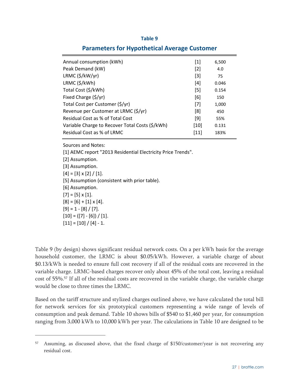| <b>Parameters for Hypothetical Average Customer</b> |  |  |  |
|-----------------------------------------------------|--|--|--|
|-----------------------------------------------------|--|--|--|

| Annual consumption (kWh)                        | $[1]$  | 6,500 |
|-------------------------------------------------|--------|-------|
| Peak Demand (kW)                                | $[2]$  | 4.0   |
| $LRMC$ (\$/kW/yr)                               | $[3]$  | 75    |
| LRMC (\$/kWh)                                   | [4]    | 0.046 |
| Total Cost (\$/kWh)                             | [5]    | 0.154 |
| Fixed Charge (\$/yr)                            | [6]    | 150   |
| Total Cost per Customer (\$/yr)                 | $[7]$  | 1,000 |
| Revenue per Customer at LRMC (\$/yr)            | [8]    | 450   |
| Residual Cost as % of Total Cost                | [9]    | 55%   |
| Variable Charge to Recover Total Costs (\$/kWh) | $[10]$ | 0.131 |
| Residual Cost as % of LRMC                      | [11]   | 183%  |

Sources and Notes:

[1] AEMC report "2013 Residential Electricity Price Trends". [2] Assumption. [3] Assumption.  $[4] = [3] \times [2] / [1].$ 

[5] Assumption (consistent with prior table).

[6] Assumption.

 $[7] = [5] \times [1].$ 

 $[8] = [6] + [1] \times [4].$ 

 $[9] = 1 - [8] / [7].$ 

 $[10] = ([7] - [6]) / [1].$ 

$$
[11] = [10] / [4] - 1.
$$

 $\overline{a}$ 

Table 9 (by design) shows significant residual network costs. On a per kWh basis for the average household customer, the LRMC is about \$0.05/kWh. However, a variable charge of about \$0.13/kWh is needed to ensure full cost recovery if all of the residual costs are recovered in the variable charge. LRMC-based charges recover only about 45% of the total cost, leaving a residual cost of 55%.57 If all of the residual costs are recovered in the variable charge, the variable charge would be close to three times the LRMC.

Based on the tariff structure and stylized charges outlined above, we have calculated the total bill for network services for six prototypical customers representing a wide range of levels of consumption and peak demand. Table 10 shows bills of \$540 to \$1,460 per year, for consumption ranging from 3,000 kWh to 10,000 kWh per year. The calculations in Table 10 are designed to be

Assuming, as discussed above, that the fixed charge of \$150/customer/year is not recovering any residual cost.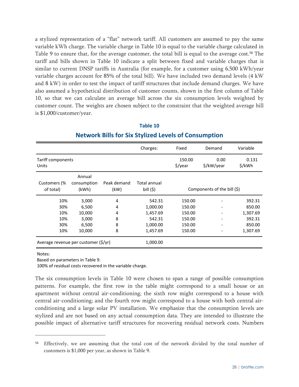a stylized representation of a "flat" network tariff. All customers are assumed to pay the same variable kWh charge. The variable charge in Table 10 is equal to the variable charge calculated in Table 9 to ensure that, for the average customer, the total bill is equal to the average cost.<sup>58</sup> The tariff and bills shown in Table 10 indicate a split between fixed and variable charges that is similar to current DNSP tariffs in Australia (for example, for a customer using 6,500 kWh/year variable charges account for 85% of the total bill). We have included two demand levels (4 kW and 8 kW) in order to test the impact of tariff structures that include demand charges. We have also assumed a hypothetical distribution of customer counts, shown in the first column of Table 10, so that we can calculate an average bill across the six consumption levels weighted by customer count. The weights are chosen subject to the constraint that the weighted average bill is \$1,000/customer/year.

|                                      |                                |                     | Charges:                   | Fixed                         | Demand                      | Variable        |
|--------------------------------------|--------------------------------|---------------------|----------------------------|-------------------------------|-----------------------------|-----------------|
| Tariff components<br>Units           |                                |                     |                            | 150.00<br>$\frac{2}{3}$ /year | 0.00<br>\$/kW/year          | 0.131<br>\$/kWh |
| Customers (%<br>of total)            | Annual<br>consumption<br>(kWh) | Peak demand<br>(kW) | Total annual<br>bill $(5)$ |                               | Components of the bill (\$) |                 |
| 10%                                  | 3,000                          | 4                   | 542.31                     | 150.00                        |                             | 392.31          |
| 30%                                  | 6,500                          | 4                   | 1,000.00                   | 150.00                        |                             | 850.00          |
| 10%                                  | 10,000                         | 4                   | 1,457.69                   | 150.00                        |                             | 1,307.69        |
| 10%                                  | 3,000                          | 8                   | 542.31                     | 150.00                        | ٠                           | 392.31          |
| 30%                                  | 6,500                          | 8                   | 1,000.00                   | 150.00                        |                             | 850.00          |
| 10%                                  | 10,000                         | 8                   | 1,457.69                   | 150.00                        |                             | 1,307.69        |
| Average revenue per customer (\$/yr) |                                | 1,000.00            |                            |                               |                             |                 |

## **Table 10 Network Bills for Six Stylized Levels of Consumption**

#### Notes:

 $\overline{a}$ 

Based on parameters in Table 9.

100% of residual costs recovered in the variable charge.

The six consumption levels in Table 10 were chosen to span a range of possible consumption patterns. For example, the first row in the table might correspond to a small house or an apartment without central air-conditioning; the sixth row might correspond to a house with central air-conditioning; and the fourth row might correspond to a house with both central airconditioning and a large solar PV installation. We emphasize that the consumption levels are stylized and are not based on any actual consumption data. They are intended to illustrate the possible impact of alternative tariff structures for recovering residual network costs. Numbers

Effectively, we are assuming that the total cost of the network divided by the total number of customers is \$1,000 per year, as shown in Table 9.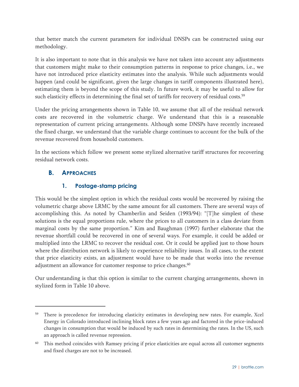that better match the current parameters for individual DNSPs can be constructed using our methodology.

It is also important to note that in this analysis we have not taken into account any adjustments that customers might make to their consumption patterns in response to price changes, i.e., we have not introduced price elasticity estimates into the analysis. While such adjustments would happen (and could be significant, given the large changes in tariff components illustrated here), estimating them is beyond the scope of this study. In future work, it may be useful to allow for such elasticity effects in determining the final set of tariffs for recovery of residual costs.<sup>59</sup>

Under the pricing arrangements shown in Table 10, we assume that all of the residual network costs are recovered in the volumetric charge. We understand that this is a reasonable representation of current pricing arrangements. Although some DNSPs have recently increased the fixed charge, we understand that the variable charge continues to account for the bulk of the revenue recovered from household customers.

In the sections which follow we present some stylized alternative tariff structures for recovering residual network costs.

## **B. APPROACHES**

 $\overline{a}$ 

## **1. Postage-stamp pricing**

This would be the simplest option in which the residual costs would be recovered by raising the volumetric charge above LRMC by the same amount for all customers. There are several ways of accomplishing this. As noted by Chamberlin and Seiden (1993/94): "[T]he simplest of these solutions is the equal proportions rule, where the prices to all customers in a class deviate from marginal costs by the same proportion." Kim and Baughman (1997) further elaborate that the revenue shortfall could be recovered in one of several ways. For example, it could be added or multiplied into the LRMC to recover the residual cost. Or it could be applied just to those hours where the distribution network is likely to experience reliability issues. In all cases, to the extent that price elasticity exists, an adjustment would have to be made that works into the revenue adjustment an allowance for customer response to price changes.<sup>60</sup>

Our understanding is that this option is similar to the current charging arrangements, shown in stylized form in Table 10 above.

<sup>59</sup> There is precedence for introducing elasticity estimates in developing new rates. For example, Xcel Energy in Colorado introduced inclining block rates a few years ago and factored in the price-induced changes in consumption that would be induced by such rates in determining the rates. In the US, such an approach is called revenue repression.

This method coincides with Ramsey pricing if price elasticities are equal across all customer segments and fixed charges are not to be increased.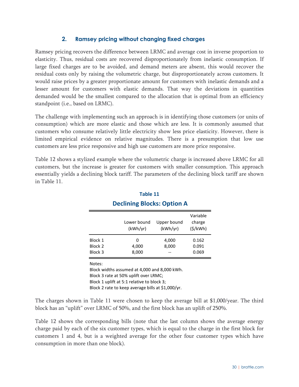### **2. Ramsey pricing without changing fixed charges**

Ramsey pricing recovers the difference between LRMC and average cost in inverse proportion to elasticity. Thus, residual costs are recovered disproportionately from inelastic consumption. If large fixed charges are to be avoided, and demand meters are absent, this would recover the residual costs only by raising the volumetric charge, but disproportionately across customers. It would raise prices by a greater proportionate amount for customers with inelastic demands and a lesser amount for customers with elastic demands. That way the deviations in quantities demanded would be the smallest compared to the allocation that is optimal from an efficiency standpoint (i.e., based on LRMC).

The challenge with implementing such an approach is in identifying those customers (or units of consumption) which are more elastic and those which are less. It is commonly assumed that customers who consume relatively little electricity show less price elasticity. However, there is limited empirical evidence on relative magnitudes. There is a presumption that low use customers are less price responsive and high use customers are more price responsive.

Table 12 shows a stylized example where the volumetric charge is increased above LRMC for all customers, but the increase is greater for customers with smaller consumption. This approach essentially yields a declining block tariff. The parameters of the declining block tariff are shown in Table 11.

|         | -----------             | . <del>.</del>          |                               |
|---------|-------------------------|-------------------------|-------------------------------|
|         | Lower bound<br>(kWh/yr) | Upper bound<br>(kWh/yr) | Variable<br>charge<br>(5/kWh) |
| Block 1 | 0                       | 4,000                   | 0.162                         |
| Block 2 | 4,000                   | 8,000                   | 0.091                         |
| Block 3 | 8,000                   |                         | 0.069                         |
| Notes:  |                         |                         |                               |

## **Table 11 Declining Blocks: Option A**

Notes:

Block widths assumed at 4,000 and 8,000 kWh. Block 3 rate at 50% uplift over LRMC; Block 1 uplift at 5:1 relative to block 3; Block 2 rate to keep average bills at \$1,000/yr.

The charges shown in Table 11 were chosen to keep the average bill at \$1,000/year. The third block has an "uplift" over LRMC of 50%, and the first block has an uplift of 250%.

Table 12 shows the corresponding bills (note that the last column shows the average energy charge paid by each of the six customer types, which is equal to the charge in the first block for customers 1 and 4, but is a weighted average for the other four customer types which have consumption in more than one block).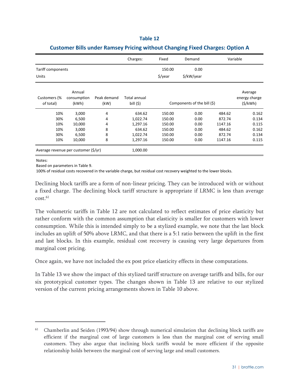|                                      |                                |                     | Charges:                   | Fixed               | Demand                      |         | Variable                            |
|--------------------------------------|--------------------------------|---------------------|----------------------------|---------------------|-----------------------------|---------|-------------------------------------|
| Tariff components                    |                                |                     |                            | 150.00              | 0.00                        |         |                                     |
| Units                                |                                |                     |                            | $\frac{1}{2}$ /year | \$/kW/year                  |         |                                     |
| Customers (%<br>of total)            | Annual<br>consumption<br>(kWh) | Peak demand<br>(kW) | Total annual<br>bill $(5)$ |                     | Components of the bill (\$) |         | Average<br>energy charge<br>(S/KWh) |
| 10%                                  | 3,000                          | 4                   | 634.62                     | 150.00              | 0.00                        | 484.62  | 0.162                               |
| 30%                                  | 6,500                          | 4                   | 1,022.74                   | 150.00              | 0.00                        | 872.74  | 0.134                               |
| 10%                                  | 10,000                         | 4                   | 1,297.16                   | 150.00              | 0.00                        | 1147.16 | 0.115                               |
| 10%                                  | 3,000                          | 8                   | 634.62                     | 150.00              | 0.00                        | 484.62  | 0.162                               |
| 30%                                  | 6,500                          | 8                   | 1,022.74                   | 150.00              | 0.00                        | 872.74  | 0.134                               |
| 10%                                  | 10,000                         | 8                   | 1,297.16                   | 150.00              | 0.00                        | 1147.16 | 0.115                               |
| Average revenue per customer (\$/yr) |                                |                     | 1,000.00                   |                     |                             |         |                                     |

#### **Customer Bills under Ramsey Pricing without Changing Fixed Charges: Option A**

Notes:

 $\overline{a}$ 

Based on parameters in Table 9.

100% of residual costs recovered in the variable charge, but residual cost recovery weighted to the lower blocks.

Declining block tariffs are a form of non-linear pricing. They can be introduced with or without a fixed charge. The declining block tariff structure is appropriate if LRMC is less than average  $cost<sub>0</sub>$ <sup>61</sup>

The volumetric tariffs in Table 12 are not calculated to reflect estimates of price elasticity but rather conform with the common assumption that elasticity is smaller for customers with lower consumption. While this is intended simply to be a stylized example, we note that the last block includes an uplift of 50% above LRMC, and that there is a 5:1 ratio between the uplift in the first and last blocks. In this example, residual cost recovery is causing very large departures from marginal cost pricing.

Once again, we have not included the ex post price elasticity effects in these computations.

In Table 13 we show the impact of this stylized tariff structure on average tariffs and bills, for our six prototypical customer types. The changes shown in Table 13 are relative to our stylized version of the current pricing arrangements shown in Table 10 above.

<sup>&</sup>lt;sup>61</sup> Chamberlin and Seiden (1993/94) show through numerical simulation that declining block tariffs are efficient if the marginal cost of large customers is less than the marginal cost of serving small customers. They also argue that inclining block tariffs would be more efficient if the opposite relationship holds between the marginal cost of serving large and small customers.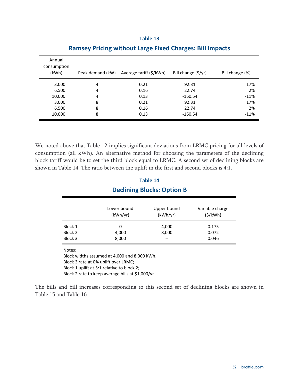| Annual<br>consumption<br>(kWh) | Peak demand (kW) | Average tariff (\$/kWh) | Bill change (\$/yr) | Bill change (%) |
|--------------------------------|------------------|-------------------------|---------------------|-----------------|
| 3,000                          | 4                | 0.21                    | 92.31               | 17%             |
| 6,500                          | 4                | 0.16                    | 22.74               | 2%              |
| 10,000                         | 4                | 0.13                    | $-160.54$           | $-11%$          |
| 3,000                          | 8                | 0.21                    | 92.31               | 17%             |
| 6,500                          | 8                | 0.16                    | 22.74               | 2%              |
| 10,000                         | 8                | 0.13                    | $-160.54$           | $-11%$          |

#### **Ramsey Pricing without Large Fixed Charges: Bill Impacts**

We noted above that Table 12 implies significant deviations from LRMC pricing for all levels of consumption (all kWh). An alternative method for choosing the parameters of the declining block tariff would be to set the third block equal to LRMC. A second set of declining blocks are shown in Table 14. The ratio between the uplift in the first and second blocks is 4:1.

## **Table 14 Declining Blocks: Option B**

|         | Lower bound<br>(kWh/yr) | Upper bound<br>(kWh/yr) | Variable charge<br>(5/kWh) |
|---------|-------------------------|-------------------------|----------------------------|
| Block 1 | 0                       | 4,000                   | 0.175                      |
| Block 2 | 4,000                   | 8,000                   | 0.072                      |
| Block 3 | 8,000                   | $-$                     | 0.046                      |

Notes:

Block widths assumed at 4,000 and 8,000 kWh.

Block 3 rate at 0% uplift over LRMC;

Block 1 uplift at 5:1 relative to block 2;

Block 2 rate to keep average bills at \$1,000/yr.

The bills and bill increases corresponding to this second set of declining blocks are shown in Table 15 and Table 16.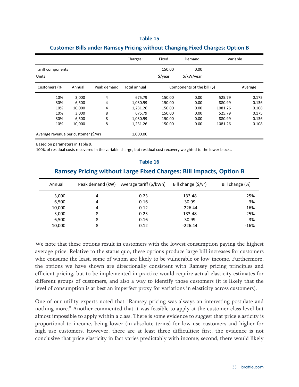|                                      |                          |             | Charges:                       | Fixed                         | Demand                      | Variable                    |                         |
|--------------------------------------|--------------------------|-------------|--------------------------------|-------------------------------|-----------------------------|-----------------------------|-------------------------|
| Tariff components<br>Units           |                          |             |                                | 150.00<br>$\frac{1}{2}$ /year | 0.00<br>\$/kW/year          |                             |                         |
| Customers (%                         | Annual                   | Peak demand | Total annual                   |                               | Components of the bill (\$) |                             | Average                 |
| 10%<br>30%<br>10%                    | 3,000<br>6,500<br>10,000 | 4<br>4<br>4 | 675.79<br>1,030.99<br>1,231.26 | 150.00<br>150.00<br>150.00    | 0.00<br>0.00<br>0.00        | 525.79<br>880.99<br>1081.26 | 0.175<br>0.136<br>0.108 |
| 10%<br>30%<br>10%                    | 3,000<br>6,500<br>10,000 | 8<br>8<br>8 | 675.79<br>1,030.99<br>1,231.26 | 150.00<br>150.00<br>150.00    | 0.00<br>0.00<br>0.00        | 525.79<br>880.99<br>1081.26 | 0.175<br>0.136<br>0.108 |
| Average revenue per customer (\$/yr) |                          |             | 1,000.00                       |                               |                             |                             |                         |

#### **Customer Bills under Ramsey Pricing without Changing Fixed Charges: Option B**

Based on parameters in Table 9.

100% of residual costs recovered in the variable charge, but residual cost recovery weighted to the lower blocks.

| TAME TA<br><b>Ramsey Pricing without Large Fixed Charges: Bill Impacts, Option B</b> |                  |                         |                     |                 |  |  |
|--------------------------------------------------------------------------------------|------------------|-------------------------|---------------------|-----------------|--|--|
|                                                                                      |                  |                         |                     |                 |  |  |
| Annual                                                                               | Peak demand (kW) | Average tariff (\$/kWh) | Bill change (\$/yr) | Bill change (%) |  |  |
| 3,000                                                                                | 4                | 0.23                    | 133.48              | 25%             |  |  |
| 6,500                                                                                | 4                | 0.16                    | 30.99               | 3%              |  |  |
| 10,000                                                                               | 4                | 0.12                    | $-226.44$           | $-16%$          |  |  |
| 3,000                                                                                | 8                | 0.23                    | 133.48              | 25%             |  |  |
| 6,500                                                                                | 8                | 0.16                    | 30.99               | 3%              |  |  |
| 10,000                                                                               | 8                | 0.12                    | $-226.44$           | $-16%$          |  |  |

**Table 16**

We note that these options result in customers with the lowest consumption paying the highest average price. Relative to the status quo, these options produce large bill increases for customers who consume the least, some of whom are likely to be vulnerable or low-income. Furthermore, the options we have shown are directionally consistent with Ramsey pricing principles and efficient pricing, but to be implemented in practice would require actual elasticity estimates for different groups of customers, and also a way to identify those customers (it is likely that the level of consumption is at best an imperfect proxy for variations in elasticity across customers).

One of our utility experts noted that "Ramsey pricing was always an interesting postulate and nothing more." Another commented that it was feasible to apply at the customer class level but almost impossible to apply within a class. There is some evidence to suggest that price elasticity is proportional to income, being lower (in absolute terms) for low use customers and higher for high use customers. However, there are at least three difficulties: first, the evidence is not conclusive that price elasticity in fact varies predictably with income; second, there would likely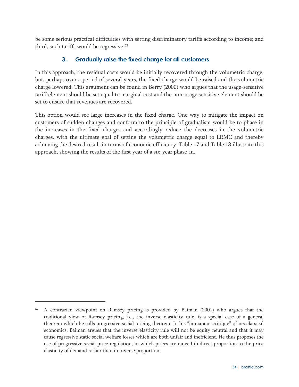be some serious practical difficulties with setting discriminatory tariffs according to income; and third, such tariffs would be regressive.<sup>62</sup>

## **3. Gradually raise the fixed charge for all customers**

In this approach, the residual costs would be initially recovered through the volumetric charge, but, perhaps over a period of several years, the fixed charge would be raised and the volumetric charge lowered. This argument can be found in Berry (2000) who argues that the usage-sensitive tariff element should be set equal to marginal cost and the non-usage sensitive element should be set to ensure that revenues are recovered.

This option would see large increases in the fixed charge. One way to mitigate the impact on customers of sudden changes and conform to the principle of gradualism would be to phase in the increases in the fixed charges and accordingly reduce the decreases in the volumetric charges, with the ultimate goal of setting the volumetric charge equal to LRMC and thereby achieving the desired result in terms of economic efficiency. Table 17 and Table 18 illustrate this approach, showing the results of the first year of a six-year phase-in.

<sup>62</sup> A contrarian viewpoint on Ramsey pricing is provided by Baiman (2001) who argues that the traditional view of Ramsey pricing, i.e., the inverse elasticity rule, is a special case of a general theorem which he calls progressive social pricing theorem. In his "immanent critique" of neoclassical economics, Baiman argues that the inverse elasticity rule will not be equity neutral and that it may cause regressive static social welfare losses which are both unfair and inefficient. He thus proposes the use of progressive social price regulation, in which prices are moved in direct proportion to the price elasticity of demand rather than in inverse proportion.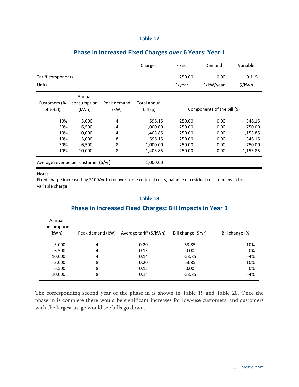|  | ۰, |  |
|--|----|--|
|  |    |  |

|                                      |                                |                     | Charges:                   | Fixed                       | Demand       | Variable           |
|--------------------------------------|--------------------------------|---------------------|----------------------------|-----------------------------|--------------|--------------------|
| Tariff components                    |                                |                     | 250.00                     | 0.00                        | 0.115        |                    |
| Units                                |                                |                     |                            | \$/year                     | \$/kW/year   | \$/kWh             |
| Customers (%<br>of total)            | Annual<br>consumption<br>(kWh) | Peak demand<br>(kW) | Total annual<br>bill $(5)$ | Components of the bill (\$) |              |                    |
| 10%                                  | 3,000                          | 4                   | 596.15                     | 250.00                      | 0.00         | 346.15             |
| 30%<br>10%                           | 6,500<br>10,000                | 4<br>4              | 1,000.00<br>1,403.85       | 250.00<br>250.00            | 0.00<br>0.00 | 750.00<br>1,153.85 |
| 10%<br>30%                           | 3,000<br>6,500                 | 8<br>8              | 596.15<br>1,000.00         | 250.00<br>250.00            | 0.00<br>0.00 | 346.15<br>750.00   |
| 10%                                  | 10,000                         | 8                   | 1,403.85                   | 250.00                      | 0.00         | 1,153.85           |
| Average revenue per customer (\$/yr) |                                | 1,000.00            |                            |                             |              |                    |

## **Phase in Increased Fixed Charges over 6 Years: Year 1**

Notes:

Fixed charge increased by \$100/yr to recover some residual costs; balance of residual cost remains in the variable charge.

## **Table 18**

## **Phase in Increased Fixed Charges: Bill Impacts in Year 1**

| Annual<br>consumption<br>(kWh) | Peak demand (kW) | Average tariff (\$/kWh) | Bill change (\$/yr) | Bill change (%) |
|--------------------------------|------------------|-------------------------|---------------------|-----------------|
| 3,000                          | 4                | 0.20                    | 53.85               | 10%             |
| 6,500                          | 4                | 0.15                    | 0.00                | 0%              |
| 10,000                         | 4                | 0.14                    | $-53.85$            | $-4%$           |
| 3,000                          | 8                | 0.20                    | 53.85               | 10%             |
| 6,500                          | 8                | 0.15                    | 0.00                | 0%              |
| 10,000                         | 8                | 0.14                    | $-53.85$            | $-4%$           |

The corresponding second year of the phase-in is shown in Table 19 and Table 20. Once the phase in is complete there would be significant increases for low-use customers, and customers with the largest usage would see bills go down.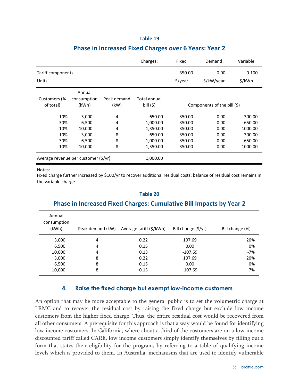|                                        |                                                      |                            | Charges:                                             | Fixed                                                                                  | Demand     | Variable                                                   |
|----------------------------------------|------------------------------------------------------|----------------------------|------------------------------------------------------|----------------------------------------------------------------------------------------|------------|------------------------------------------------------------|
| Tariff components                      |                                                      |                            | 350.00                                               | 0.00                                                                                   | 0.100      |                                                            |
| Units                                  |                                                      |                            |                                                      | \$/year                                                                                | \$/kW/year | \$/kWh                                                     |
| Customers (%<br>of total)              | Annual<br>consumption<br>(kWh)                       | Peak demand<br>(kW)        | Total annual<br>bill $(5)$                           | Components of the bill (\$)                                                            |            |                                                            |
| 10%<br>30%<br>10%<br>10%<br>30%<br>10% | 3,000<br>6,500<br>10,000<br>3,000<br>6,500<br>10,000 | 4<br>4<br>4<br>8<br>8<br>8 | 650.00<br>1,000.00<br>1,350.00<br>650.00<br>1,000.00 | 350.00<br>0.00<br>350.00<br>0.00<br>350.00<br>0.00<br>350.00<br>0.00<br>350.00<br>0.00 |            | 300.00<br>650.00<br>1000.00<br>300.00<br>650.00<br>1000.00 |
| Average revenue per customer (\$/yr)   |                                                      |                            | 1,350.00<br>1,000.00                                 | 350.00                                                                                 | 0.00       |                                                            |

## **Phase in Increased Fixed Charges over 6 Years: Year 2**

#### Notes:

Fixed charge further increased by \$100/yr to recover additional residual costs; balance of residual cost remains in the variable charge.

## Annual consumption (kWh) Peak demand (kW) Average tariff (\$/kWh) Bill change (\$/yr) Bill change (%) 3,000 4 0.22 107.69 20% 6,500 4 0.15 0.00 0% 10,000 **4** 0.13 -107.69 **-10** 3,000 8 0.22 107.69 20% 6,500 8 0.15 0.00 0% 10,000 8 0.13 -107.69 -7% **Phase in Increased Fixed Charges: Cumulative Bill Impacts by Year 2**

#### **Table 20**

#### **4. Raise the fixed charge but exempt low-income customers**

An option that may be more acceptable to the general public is to set the volumetric charge at LRMC and to recover the residual cost by raising the fixed charge but exclude low income customers from the higher fixed charge. Thus, the entire residual cost would be recovered from all other consumers. A prerequisite for this approach is that a way would be found for identifying low income customers. In California, where about a third of the customers are on a low income discounted tariff called CARE, low income customers simply identify themselves by filling out a form that states their eligibility for the program, by referring to a table of qualifying income levels which is provided to them. In Australia, mechanisms that are used to identify vulnerable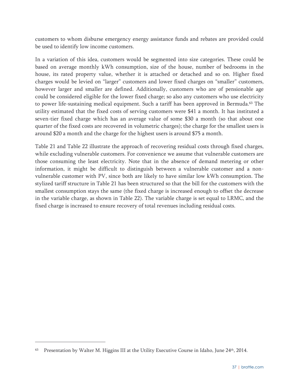customers to whom disburse emergency energy assistance funds and rebates are provided could be used to identify low income customers.

In a variation of this idea, customers would be segmented into size categories. These could be based on average monthly kWh consumption, size of the house, number of bedrooms in the house, its rated property value, whether it is attached or detached and so on. Higher fixed charges would be levied on "larger" customers and lower fixed charges on "smaller" customers, however larger and smaller are defined. Additionally, customers who are of pensionable age could be considered eligible for the lower fixed charge; so also any customers who use electricity to power life-sustaining medical equipment. Such a tariff has been approved in Bermuda.<sup>63</sup> The utility estimated that the fixed costs of serving customers were \$41 a month. It has instituted a seven-tier fixed charge which has an average value of some \$30 a month (so that about one quarter of the fixed costs are recovered in volumetric charges); the charge for the smallest users is around \$20 a month and the charge for the highest users is around \$75 a month.

Table 21 and Table 22 illustrate the approach of recovering residual costs through fixed charges, while excluding vulnerable customers. For convenience we assume that vulnerable customers are those consuming the least electricity. Note that in the absence of demand metering or other information, it might be difficult to distinguish between a vulnerable customer and a nonvulnerable customer with PV, since both are likely to have similar low kWh consumption. The stylized tariff structure in Table 21 has been structured so that the bill for the customers with the smallest consumption stays the same (the fixed charge is increased enough to offset the decrease in the variable charge, as shown in Table 22). The variable charge is set equal to LRMC, and the fixed charge is increased to ensure recovery of total revenues including residual costs.

<sup>63</sup> Presentation by Walter M. Higgins III at the Utility Executive Course in Idaho, June 24th, 2014.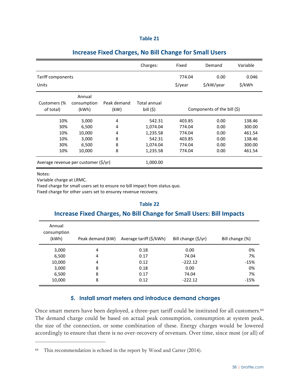| с |  |  |
|---|--|--|
|   |  |  |

|                                      |                      |                     | Charges:                   | Fixed                       | Demand     | Variable |
|--------------------------------------|----------------------|---------------------|----------------------------|-----------------------------|------------|----------|
| Tariff components                    |                      |                     | 774.04                     | 0.00                        | 0.046      |          |
| Units                                |                      |                     |                            | \$/year                     | \$/kW/year | \$/kWh   |
|                                      | Annual               |                     |                            |                             |            |          |
| Customers (%<br>of total)            | consumption<br>(kWh) | Peak demand<br>(kW) | Total annual<br>bill $(5)$ | Components of the bill (\$) |            |          |
| 10%                                  | 3,000                | 4                   | 542.31                     | 403.85                      | 0.00       | 138.46   |
| 30%                                  | 6,500                | 4                   | 1,074.04                   | 774.04                      | 0.00       | 300.00   |
| 10%                                  | 10,000               | 4                   | 1,235.58                   | 774.04                      | 0.00       | 461.54   |
| 10%                                  | 3,000                | 8                   | 542.31                     | 403.85                      | 0.00       | 138.46   |
| 30%                                  | 6,500                | 8                   | 1,074.04                   | 774.04                      | 0.00       | 300.00   |
| 10%                                  | 10,000               | 8                   | 1,235.58                   | 774.04                      | 0.00       | 461.54   |
| Average revenue per customer (\$/yr) |                      | 1,000.00            |                            |                             |            |          |

## **Increase Fixed Charges, No Bill Change for Small Users**

Notes:

 $\overline{a}$ 

Variable charge at LRMC.

Fixed charge for small users set to ensure no bill impact from status quo.

Fixed charge for other users set to ensurey revenue recovery.

#### **Table 22**

#### **Increase Fixed Charges, No Bill Change for Small Users: Bill Impacts**

| Annual<br>consumption<br>(kWh) | Peak demand (kW) | Average tariff (\$/kWh) | Bill change (\$/yr) | Bill change (%) |
|--------------------------------|------------------|-------------------------|---------------------|-----------------|
| 3,000                          | 4                | 0.18                    | 0.00                | 0%              |
| 6,500                          | 4                | 0.17                    | 74.04               | 7%              |
| 10,000                         | 4                | 0.12                    | $-222.12$           | $-15%$          |
| 3,000                          | 8                | 0.18                    | 0.00                | 0%              |
| 6,500                          | 8                | 0.17                    | 74.04               | 7%              |
| 10,000                         | 8                | 0.12                    | $-222.12$           | $-15%$          |

#### **5. Install smart meters and introduce demand charges**

Once smart meters have been deployed, a three-part tariff could be instituted for all customers.<sup>64</sup> The demand charge could be based on actual peak consumption, consumption at system peak, the size of the connection, or some combination of these. Energy charges would be lowered accordingly to ensure that there is no over-recovery of revenues. Over time, since most (or all) of

<sup>&</sup>lt;sup>64</sup> This recommendation is echoed in the report by Wood and Carter (2014).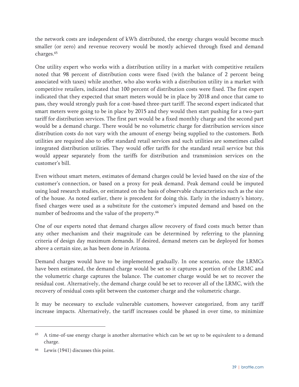the network costs are independent of kWh distributed, the energy charges would become much smaller (or zero) and revenue recovery would be mostly achieved through fixed and demand charges.65

One utility expert who works with a distribution utility in a market with competitive retailers noted that 98 percent of distribution costs were fixed (with the balance of 2 percent being associated with taxes) while another, who also works with a distribution utility in a market with competitive retailers, indicated that 100 percent of distribution costs were fixed. The first expert indicated that they expected that smart meters would be in place by 2018 and once that came to pass, they would strongly push for a cost-based three-part tariff. The second expert indicated that smart meters were going to be in place by 2015 and they would then start pushing for a two-part tariff for distribution services. The first part would be a fixed monthly charge and the second part would be a demand charge. There would be no volumetric charge for distribution services since distribution costs do not vary with the amount of energy being supplied to the customers. Both utilities are required also to offer standard retail services and such utilities are sometimes called integrated distribution utilities. They would offer tariffs for the standard retail service but this would appear separately from the tariffs for distribution and transmission services on the customer's bill.

Even without smart meters, estimates of demand charges could be levied based on the size of the customer's connection, or based on a proxy for peak demand. Peak demand could be imputed using load research studies, or estimated on the basis of observable characteristics such as the size of the house. As noted earlier, there is precedent for doing this. Early in the industry's history, fixed charges were used as a substitute for the customer's imputed demand and based on the number of bedrooms and the value of the property.<sup>66</sup>

One of our experts noted that demand charges allow recovery of fixed costs much better than any other mechanism and their magnitude can be determined by referring to the planning criteria of design day maximum demands. If desired, demand meters can be deployed for homes above a certain size, as has been done in Arizona.

Demand charges would have to be implemented gradually. In one scenario, once the LRMCs have been estimated, the demand charge would be set so it captures a portion of the LRMC and the volumetric charge captures the balance. The customer charge would be set to recover the residual cost. Alternatively, the demand charge could be set to recover all of the LRMC, with the recovery of residual costs split between the customer charge and the volumetric charge.

It may be necessary to exclude vulnerable customers, however categorized, from any tariff increase impacts. Alternatively, the tariff increases could be phased in over time, to minimize

-

 $65$  A time-of-use energy charge is another alternative which can be set up to be equivalent to a demand charge.

Lewis (1941) discusses this point.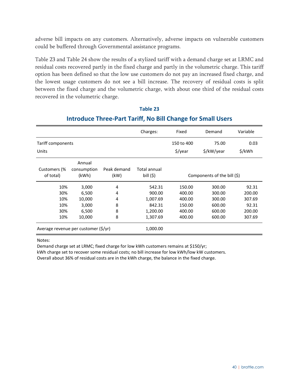adverse bill impacts on any customers. Alternatively, adverse impacts on vulnerable customers could be buffered through Governmental assistance programs.

Table 23 and Table 24 show the results of a stylized tariff with a demand charge set at LRMC and residual costs recovered partly in the fixed charge and partly in the volumetric charge. This tariff option has been defined so that the low use customers do not pay an increased fixed charge, and the lowest usage customers do not see a bill increase. The recovery of residual costs is split between the fixed charge and the volumetric charge, with about one third of the residual costs recovered in the volumetric charge.

|                                      |                                |                     | Charges:                   | Fixed                       | Demand     | Variable |
|--------------------------------------|--------------------------------|---------------------|----------------------------|-----------------------------|------------|----------|
| Tariff components                    |                                |                     |                            | 150 to 400                  | 75.00      | 0.03     |
| Units                                |                                |                     |                            | \$/year                     | \$/kW/year | \$/kWh   |
| Customers (%<br>of total)            | Annual<br>consumption<br>(kWh) | Peak demand<br>(kW) | Total annual<br>bill $(5)$ | Components of the bill (\$) |            |          |
| 10%                                  | 3,000                          | 4                   | 542.31                     | 150.00                      | 300.00     | 92.31    |
| 30%                                  | 6,500                          | 4                   | 900.00                     | 400.00                      | 300.00     | 200.00   |
| 10%                                  | 10,000                         | 4                   | 1,007.69                   | 400.00                      | 300.00     | 307.69   |
| 10%                                  | 3,000                          | 8                   | 842.31                     | 150.00                      | 600.00     | 92.31    |
| 30%                                  | 6,500                          | 8                   | 1,200.00                   | 400.00                      | 600.00     | 200.00   |
| 10%                                  | 10,000                         | 8                   | 1,307.69                   | 400.00                      | 600.00     | 307.69   |
| Average revenue per customer (\$/yr) |                                |                     | 1,000.00                   |                             |            |          |

## **Table 23 Introduce Three‐Part Tariff, No Bill Change for Small Users**

Notes:

Demand charge set at LRMC; fixed charge for low kWh customers remains at \$150/yr;

kWh charge set to recover some residual costs; no bill increase for low kWh/low kW customers.

Overall about 36% of residual costs are in the kWh charge, the balance in the fixed charge.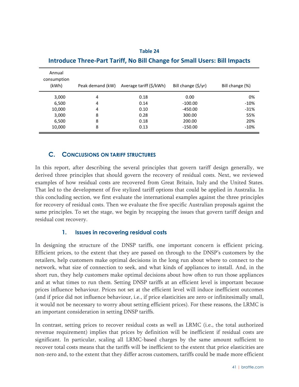| Annual<br>consumption<br>(kWh) | Peak demand (kW) | Average tariff (\$/kWh) | Bill change (\$/yr) | Bill change (%) |
|--------------------------------|------------------|-------------------------|---------------------|-----------------|
| 3,000                          | 4                | 0.18                    | 0.00                | 0%              |
| 6,500                          | 4                | 0.14                    | $-100.00$           | $-10%$          |
| 10,000                         | 4                | 0.10                    | -450.00             | $-31%$          |
| 3,000                          | 8                | 0.28                    | 300.00              | 55%             |
| 6,500                          | 8                | 0.18                    | 200.00              | 20%             |
| 10,000                         | 8                | 0.13                    | $-150.00$           | $-10%$          |

## **Table 24 Introduce Three‐Part Tariff, No Bill Change for Small Users: Bill Impacts**

#### **C. CONCLUSIONS ON TARIFF STRUCTURES**

In this report, after describing the several principles that govern tariff design generally, we derived three principles that should govern the recovery of residual costs. Next, we reviewed examples of how residual costs are recovered from Great Britain, Italy and the United States. That led to the development of five stylized tariff options that could be applied in Australia. In this concluding section, we first evaluate the international examples against the three principles for recovery of residual costs. Then we evaluate the five specific Australian proposals against the same principles. To set the stage, we begin by recapping the issues that govern tariff design and residual cost recovery.

#### **1. Issues in recovering residual costs**

In designing the structure of the DNSP tariffs, one important concern is efficient pricing. Efficient prices, to the extent that they are passed on through to the DNSP's customers by the retailers, help customers make optimal decisions in the long run about where to connect to the network, what size of connection to seek, and what kinds of appliances to install. And, in the short run, they help customers make optimal decisions about how often to run those appliances and at what times to run them. Setting DNSP tariffs at an efficient level is important because prices influence behaviour. Prices not set at the efficient level will induce inefficient outcomes (and if price did not influence behaviour, i.e., if price elasticities are zero or infinitesimally small, it would not be necessary to worry about setting efficient prices). For these reasons, the LRMC is an important consideration in setting DNSP tariffs.

In contrast, setting prices to recover residual costs as well as LRMC (i.e., the total authorized revenue requirement) implies that prices by definition will be inefficient if residual costs are significant. In particular, scaling all LRMC-based charges by the same amount sufficient to recover total costs means that the tariffs will be inefficient to the extent that price elasticities are non-zero and, to the extent that they differ across customers, tariffs could be made more efficient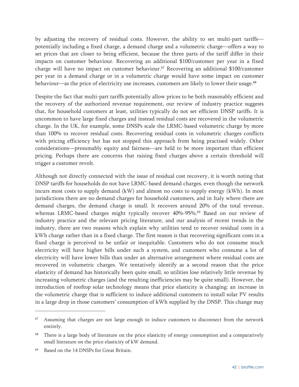by adjusting the recovery of residual costs. However, the ability to set multi-part tariffs potentially including a fixed charge, a demand charge and a volumetric charge—offers a way to set prices that are closer to being efficient, because the three parts of the tariff differ in their impacts on customer behaviour. Recovering an additional \$100/customer per year in a fixed charge will have no impact on customer behaviour.67 Recovering an additional \$100/customer per year in a demand charge or in a volumetric charge would have some impact on customer behaviour—as the price of electricity use increases, customers are likely to lower their usage.<sup>68</sup>

Despite the fact that multi-part tariffs potentially allow prices to be both reasonably efficient and the recovery of the authorized revenue requirement, our review of industry practice suggests that, for household customers at least, utilities typically do not set efficient DNSP tariffs. It is uncommon to have large fixed charges and instead residual costs are recovered in the volumetric charge. In the UK, for example, some DNSPs scale the LRMC-based volumetric charge by more than 100% to recover residual costs. Recovering residual costs in volumetric charges conflicts with pricing efficiency but has not stopped this approach from being practised widely. Other considerations—presumably equity and fairness—are held to be more important than efficient pricing. Perhaps there are concerns that raising fixed charges above a certain threshold will trigger a customer revolt.

Although not directly connected with the issue of residual cost recovery, it is worth noting that DNSP tariffs for households do not have LRMC-based demand charges, even though the network incurs most costs to supply demand (kW) and almost no costs to supply energy (kWh). In most jurisdictions there are no demand charges for household customers, and in Italy where there are demand charges, the demand charge is small. It recovers around 20% of the total revenue, whereas LRMC-based charges might typically recover 40%-95%.<sup>69</sup> Based on our review of industry practice and the relevant pricing literature, and our analysis of recent trends in the industry, there are two reasons which explain why utilities tend to recover residual costs in a kWh charge rather than in a fixed charge. The first reason is that recovering significant costs in a fixed charge is perceived to be unfair or inequitable. Customers who do not consume much electricity will have higher bills under such a system, and customers who consume a lot of electricity will have lower bills than under an alternative arrangement where residual costs are recovered in volumetric charges. We tentatively identify as a second reason that the price elasticity of demand has historically been quite small, so utilities lose relatively little revenue by increasing volumetric charges (and the resulting inefficiencies may be quite small). However, the introduction of rooftop solar technology means that price elasticity is changing: an increase in the volumetric charge that is sufficient to induce additional customers to install solar PV results in a large drop in those customers' consumption of kWh supplied by the DNSP. This change may

<sup>&</sup>lt;sup>67</sup> Assuming that charges are not large enough to induce customers to disconnect from the network entirely.

<sup>&</sup>lt;sup>68</sup> There is a large body of literature on the price elasticity of energy consumption and a comparatively small literature on the price elasticity of kW demand.

Based on the 14 DNSPs for Great Britain.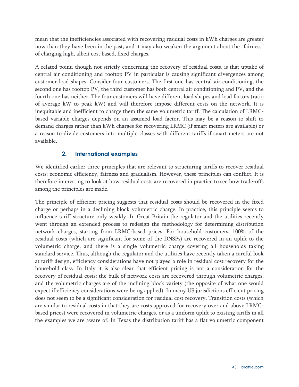mean that the inefficiencies associated with recovering residual costs in kWh charges are greater now than they have been in the past, and it may also weaken the argument about the "fairness" of charging high, albeit cost based, fixed charges.

A related point, though not strictly concerning the recovery of residual costs, is that uptake of central air conditioning and rooftop PV in particular is causing significant divergences among customer load shapes. Consider four customers. The first one has central air conditioning, the second one has rooftop PV, the third customer has both central air conditioning and PV, and the fourth one has neither. The four customers will have different load shapes and load factors (ratio of average kW to peak kW) and will therefore impose different costs on the network. It is inequitable and inefficient to charge them the same volumetric tariff. The calculation of LRMCbased variable charges depends on an assumed load factor. This may be a reason to shift to demand charges rather than kWh charges for recovering LRMC (if smart meters are available) or a reason to divide customers into multiple classes with different tariffs if smart meters are not available.

#### **2. International examples**

We identified earlier three principles that are relevant to structuring tariffs to recover residual costs: economic efficiency, fairness and gradualism. However, these principles can conflict. It is therefore interesting to look at how residual costs are recovered in practice to see how trade-offs among the principles are made.

The principle of efficient pricing suggests that residual costs should be recovered in the fixed charge or perhaps in a declining block volumetric charge. In practice, this principle seems to influence tariff structure only weakly. In Great Britain the regulator and the utilities recently went through an extended process to redesign the methodology for determining distribution network charges, starting from LRMC-based prices. For household customers, 100% of the residual costs (which are significant for some of the DNSPs) are recovered in an uplift to the volumetric charge, and there is a single volumetric charge covering all households taking standard service. Thus, although the regulator and the utilities have recently taken a careful look at tariff design, efficiency considerations have not played a role in residual cost recovery for the household class. In Italy it is also clear that efficient pricing is not a consideration for the recovery of residual costs: the bulk of network costs are recovered through volumetric charges, and the volumetric charges are of the inclining block variety (the opposite of what one would expect if efficiency considerations were being applied). In many US jurisdictions efficient pricing does not seem to be a significant consideration for residual cost recovery. Transition costs (which are similar to residual costs in that they are costs approved for recovery over and above LRMCbased prices) were recovered in volumetric charges, or as a uniform uplift to existing tariffs in all the examples we are aware of. In Texas the distribution tariff has a flat volumetric component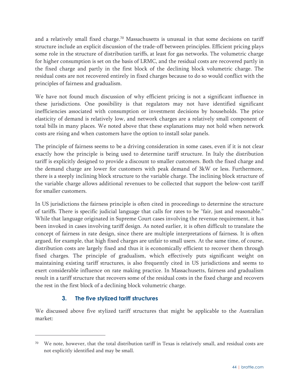and a relatively small fixed charge.<sup>70</sup> Massachusetts is unusual in that some decisions on tariff structure include an explicit discussion of the trade-off between principles. Efficient pricing plays some role in the structure of distribution tariffs, at least for gas networks. The volumetric charge for higher consumption is set on the basis of LRMC, and the residual costs are recovered partly in the fixed charge and partly in the first block of the declining block volumetric charge. The residual costs are not recovered entirely in fixed charges because to do so would conflict with the principles of fairness and gradualism.

We have not found much discussion of why efficient pricing is not a significant influence in these jurisdictions. One possibility is that regulators may not have identified significant inefficiencies associated with consumption or investment decisions by households. The price elasticity of demand is relatively low, and network charges are a relatively small component of total bills in many places. We noted above that these explanations may not hold when network costs are rising and when customers have the option to install solar panels.

The principle of fairness seems to be a driving consideration in some cases, even if it is not clear exactly how the principle is being used to determine tariff structure. In Italy the distribution tariff is explicitly designed to provide a discount to smaller customers. Both the fixed charge and the demand charge are lower for customers with peak demand of 3kW or less. Furthermore, there is a steeply inclining block structure to the variable charge. The inclining block structure of the variable charge allows additional revenues to be collected that support the below-cost tariff for smaller customers.

In US jurisdictions the fairness principle is often cited in proceedings to determine the structure of tariffs. There is specific judicial language that calls for rates to be "fair, just and reasonable." While that language originated in Supreme Court cases involving the revenue requirement, it has been invoked in cases involving tariff design. As noted earlier, it is often difficult to translate the concept of fairness in rate design, since there are multiple interpretations of fairness. It is often argued, for example, that high fixed charges are unfair to small users. At the same time, of course, distribution costs are largely fixed and thus it is economically efficient to recover them through fixed charges. The principle of gradualism, which effectively puts significant weight on maintaining existing tariff structures, is also frequently cited in US jurisdictions and seems to exert considerable influence on rate making practice. In Massachusetts, fairness and gradualism result in a tariff structure that recovers some of the residual costs in the fixed charge and recovers the rest in the first block of a declining block volumetric charge.

## **3. The five stylized tariff structures**

 $\overline{a}$ 

We discussed above five stylized tariff structures that might be applicable to the Australian market:

We note, however, that the total distribution tariff in Texas is relatively small, and residual costs are not explicitly identified and may be small.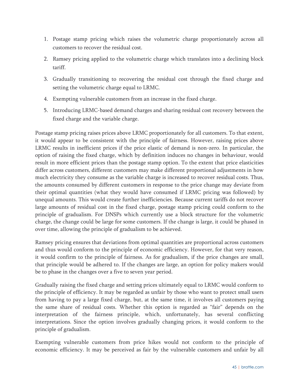- 1. Postage stamp pricing which raises the volumetric charge proportionately across all customers to recover the residual cost.
- 2. Ramsey pricing applied to the volumetric charge which translates into a declining block tariff.
- 3. Gradually transitioning to recovering the residual cost through the fixed charge and setting the volumetric charge equal to LRMC.
- 4. Exempting vulnerable customers from an increase in the fixed charge.
- 5. Introducing LRMC-based demand charges and sharing residual cost recovery between the fixed charge and the variable charge.

Postage stamp pricing raises prices above LRMC proportionately for all customers. To that extent, it would appear to be consistent with the principle of fairness. However, raising prices above LRMC results in inefficient prices if the price elastic of demand is non-zero. In particular, the option of raising the fixed charge, which by definition induces no changes in behaviour, would result in more efficient prices than the postage stamp option. To the extent that price elasticities differ across customers, different customers may make different proportional adjustments in how much electricity they consume as the variable charge is increased to recover residual costs. Thus, the amounts consumed by different customers in response to the price change may deviate from their optimal quantities (what they would have consumed if LRMC pricing was followed) by unequal amounts. This would create further inefficiencies. Because current tariffs do not recover large amounts of residual cost in the fixed charge, postage stamp pricing could conform to the principle of gradualism. For DNSPs which currently use a block structure for the volumetric charge, the change could be large for some customers. If the change is large, it could be phased in over time, allowing the principle of gradualism to be achieved.

Ramsey pricing ensures that deviations from optimal quantities are proportional across customers and thus would conform to the principle of economic efficiency. However, for that very reason, it would confirm to the principle of fairness. As for gradualism, if the price changes are small, that principle would be adhered to. If the changes are large, an option for policy makers would be to phase in the changes over a five to seven year period.

Gradually raising the fixed charge and setting prices ultimately equal to LRMC would conform to the principle of efficiency. It may be regarded as unfair by those who want to protect small users from having to pay a large fixed charge, but, at the same time, it involves all customers paying the same share of residual costs. Whether this option is regarded as "fair" depends on the interpretation of the fairness principle, which, unfortunately, has several conflicting interpretations. Since the option involves gradually changing prices, it would conform to the principle of gradualism.

Exempting vulnerable customers from price hikes would not conform to the principle of economic efficiency. It may be perceived as fair by the vulnerable customers and unfair by all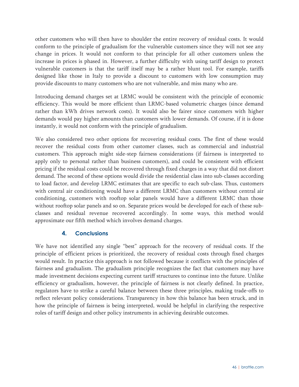other customers who will then have to shoulder the entire recovery of residual costs. It would conform to the principle of gradualism for the vulnerable customers since they will not see any change in prices. It would not conform to that principle for all other customers unless the increase in prices is phased in. However, a further difficulty with using tariff design to protect vulnerable customers is that the tariff itself may be a rather blunt tool. For example, tariffs designed like those in Italy to provide a discount to customers with low consumption may provide discounts to many customers who are not vulnerable, and miss many who are.

Introducing demand charges set at LRMC would be consistent with the principle of economic efficiency. This would be more efficient than LRMC-based volumetric charges (since demand rather than kWh drives network costs). It would also be fairer since customers with higher demands would pay higher amounts than customers with lower demands. Of course, if it is done instantly, it would not conform with the principle of gradualism.

We also considered two other options for recovering residual costs. The first of these would recover the residual costs from other customer classes, such as commercial and industrial customers. This approach might side-step fairness considerations (if fairness is interpreted to apply only to personal rather than business customers), and could be consistent with efficient pricing if the residual costs could be recovered through fixed charges in a way that did not distort demand. The second of these options would divide the residential class into sub-classes according to load factor, and develop LRMC estimates that are specific to each sub-class. Thus, customers with central air conditioning would have a different LRMC than customers without central air conditioning, customers with rooftop solar panels would have a different LRMC than those without rooftop solar panels and so on. Separate prices would be developed for each of these subclasses and residual revenue recovered accordingly. In some ways, this method would approximate our fifth method which involves demand charges.

#### **4. Conclusions**

We have not identified any single "best" approach for the recovery of residual costs. If the principle of efficient prices is prioritized, the recovery of residual costs through fixed charges would result. In practice this approach is not followed because it conflicts with the principles of fairness and gradualism. The gradualism principle recognizes the fact that customers may have made investment decisions expecting current tariff structures to continue into the future. Unlike efficiency or gradualism, however, the principle of fairness is not clearly defined. In practice, regulators have to strike a careful balance between these three principles, making trade-offs to reflect relevant policy considerations. Transparency in how this balance has been struck, and in how the principle of fairness is being interpreted, would be helpful in clarifying the respective roles of tariff design and other policy instruments in achieving desirable outcomes.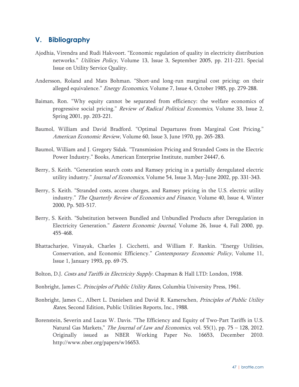## **V. Bibliography**

- Ajodhia, Virendra and Rudi Hakvoort. "Economic regulation of quality in electricity distribution networks." *Utilities Policy*, Volume 13, Issue 3, September 2005, pp. 211-221. Special Issue on Utility Service Quality.
- Andersson, Roland and Mats Bohman. "Short-and long-run marginal cost pricing: on their alleged equivalence." Energy Economics, Volume 7, Issue 4, October 1985, pp. 279-288.
- Baiman, Ron. "Why equity cannot be separated from efficiency: the welfare economics of progressive social pricing." Review of Radical Political Economics, Volume 33, Issue 2, Spring 2001, pp. 203-221.
- Baumol, William and David Bradford. "Optimal Departures from Marginal Cost Pricing." American Economic Review, Volume 60, Issue 3, June 1970, pp. 265-283.
- Baumol, William and J. Gregory Sidak. "Transmission Pricing and Stranded Costs in the Electric Power Industry." Books, American Enterprise Institute, number 24447, 6.
- Berry, S. Keith. "Generation search costs and Ramsey pricing in a partially deregulated electric utility industry." *Journal of Economics*, Volume 54, Issue 3, May-June 2002, pp. 331-343.
- Berry, S. Keith. "Stranded costs, access charges, and Ramsey pricing in the U.S. electric utility industry." The Quarterly Review of Economics and Finance, Volume 40, Issue 4, Winter 2000, Pp. 503-517.
- Berry, S. Keith. "Substitution between Bundled and Unbundled Products after Deregulation in Electricity Generation." Eastern Economic Journal, Volume 26, Issue 4, Fall 2000, pp. 455-468.
- Bhattacharjee, Vinayak, Charles J. Cicchetti, and William F. Rankin. "Energy Utilities, Conservation, and Economic Efficiency." Contemporary Economic Policy, Volume 11, Issue 1, January 1993, pp. 69-75.
- Bolton, D.J. Costs and Tariffs in Electricity Supply. Chapman & Hall LTD: London, 1938.
- Bonbright, James C. Principles of Public Utility Rates, Columbia University Press, 1961.
- Bonbright, James C., Albert L. Danielsen and David R. Kamerschen, *Principles of Public Utility* Rates, Second Edition, Public Utilities Reports, Inc., 1988.
- Borenstein, Severin and Lucas W. Davis. "The Efficiency and Equity of Two-Part Tariffs in U.S. Natural Gas Markets," The Journal of Law and Economics, vol. 55(1), pp. 75 - 128, 2012. Originally issued as NBER Working Paper No. 16653, December 2010. http://www.nber.org/papers/w16653.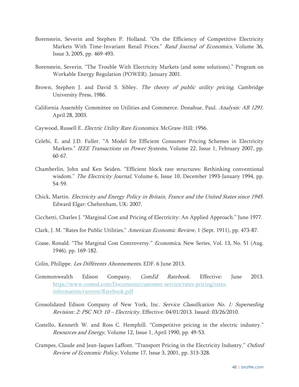- Borenstein, Severin and Stephen P. Holland. "On the Efficiency of Competitive Electricity Markets With Time-Invariant Retail Prices." Rand Journal of Economics, Volume 36, Issue 3, 2005, pp. 469-493.
- Borenstein, Severin. "The Trouble With Electricity Markets (and some solutions)." Program on Workable Energy Regulation (POWER). January 2001.
- Brown, Stephen J. and David S. Sibley. The theory of public utility pricing. Cambridge University Press, 1986.
- California Assembly Committee on Utilities and Commerce. Donahue, Paul. Analysis: AB 1291. April 28, 2003.
- Caywood, Russell E. Electric Utility Rate Economics. McGraw-Hill: 1956.
- Celebi, E. and J.D. Fuller. "A Model for Efficient Consumer Pricing Schemes in Electricity Markets." IEEE Transactions on Power Systems, Volume 22, Issue 1, February 2007, pp. 60-67.
- Chamberlin, John and Ken Seiden. "Efficient block rate structures: Rethinking conventional wisdom." The Electricity Journal, Volume 6, Issue 10, December 1993-January 1994, pp. 54-59.
- Chick, Martin. Electricity and Energy Policy in Britain, France and the United States since 1945. Edward Elgar: Cheltenham, UK: 2007.
- Cicchetti, Charles J. "Marginal Cost and Pricing of Electricity: An Applied Approach." June 1977.
- Clark, J. M. "Rates for Public Utilities," American Economic Review, 1 (Sept. 1911), pp. 473-87.
- Coase, Ronald. "The Marginal Cost Controversy." Economica, New Series, Vol. 13, No. 51 (Aug. 1946), pp. 169-182.
- Colin, Philippe. Les Différents Abonnements. EDF. 6 June 2013.
- Commonwealth Edison Company. *ComEd Ratebook*. Effective: June 2013. https://www.comed.com/Documents/customer-service/rates-pricing/ratesinformation/current/Ratebook.pdf
- Consolidated Edison Company of New York, Inc. Service Classification No. 1: Superseding Revision: 2: PSC NO: 10 – Electricity. Effective: 04/01/2013. Issued: 03/26/2010.
- Costello, Kenneth W. and Ross C. Hemphill. "Competitive pricing in the electric industry." Resources and Energy, Volume 12, Issue 1, April 1990, pp. 49-53.
- Crampes, Claude and Jean-Jaques Laffont. "Transport Pricing in the Electricity Industry." Oxford Review of Economic Policy, Volume 17, Issue 3, 2001, pp. 313-328.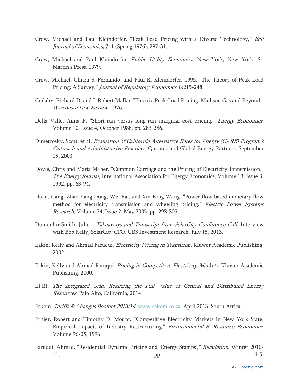- Crew, Michael and Paul Kleindorfer. "Peak Load Pricing with a Diverse Technology," Bell Journal of Economics, 7, 1 (Spring 1976), 297-31.
- Crew, Michael and Paul Kleindorfer. Public Utility Economics. New York, New York: St. Martin's Press, 1979.
- Crew, Michael, Chitru S. Fernando, and Paul R. Kleindorfer. 1995. "The Theory of Peak-Load Pricing: A Survey," Journal of Regulatory Economics, 8:215-248.
- Cudahy, Richard D. and J. Robert Malko. "Electric Peak-Load Pricing: Madison Gas and Beyond." Wisconsin Law Review, 1976.
- Della Valle, Anna P. "Short-run versus long-run marginal cost pricing." Energy Economics, Volume 10, Issue 4, October 1988, pp. 283-286.
- Dimetrosky, Scott, et al. Evaluation of California Alternative Rates for Energy (CARE) Program's Outreach and Administrative Practices. Quantec and Global Energy Partners. September 15, 2003.
- Doyle, Chris and Maria Maher. "Common Carriage and the Pricing of Electricity Transmission." The Energy Journal, International Association for Energy Economics, Volume 13, Issue 3, 1992, pp. 63-94.
- Duan, Gang, Zhao Yang Dong, Wei Bai, and Xin Feng Wang. "Power flow based monetary flow method for electricity transmission and wheeling pricing." Electric Power Systems Research, Volume 74, Issue 2, May 2005, pp. 293-305.
- Dumoulin-Smith, Julien. Takeaways and Transcript from SolarCity Conference Call. Interview with Bob Kelly, SolarCity CFO. UBS Investment Research. July 15, 2013.
- Eakin, Kelly and Ahmad Faruqui. *Electricity Pricing in Transition.* Kluwer Academic Publishing, 2002.
- Eakin, Kelly and Ahmad Faruqui. Pricing in Competitive Electricity Markets. Kluwer Academic Publishing, 2000.
- EPRI. The Integrated Grid: Realizing the Full Value of Central and Distributed Energy Resources. Palo Alto, California, 2014.
- Eskom. Tariffs & Changes Booklet 2013/14. www.eskom.co.za. April 2013. South Africa.
- Ethier, Robert and Timothy D. Mount. "Competitive Electricity Markets in New York State: Empirical Impacts of Industry Restructuring." *Environmental & Resource Economics*, Volume 96-05, 1996.
- Faruqui, Ahmad. "Residential Dynamic Pricing and 'Energy Stamps'," Regulation, Winter 2010- 11,  $pp$  4-5.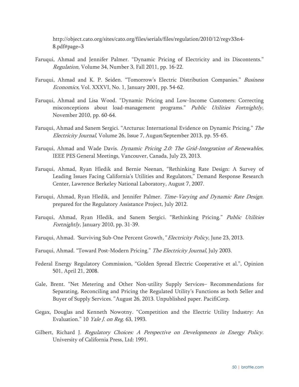http://object.cato.org/sites/cato.org/files/serials/files/regulation/2010/12/regv33n4- 8.pdf#page=3

- Faruqui, Ahmad and Jennifer Palmer. "Dynamic Pricing of Electricity and its Discontents." Regulation, Volume 34, Number 3, Fall 2011, pp. 16-22.
- Faruqui, Ahmad and K. P. Seiden. "Tomorrow's Electric Distribution Companies." Business Economics, Vol. XXXVI, No. 1, January 2001, pp. 54-62.
- Faruqui, Ahmad and Lisa Wood. "Dynamic Pricing and Low-Income Customers: Correcting misconceptions about load-management programs." Public Utilities Fortnightly, November 2010, pp. 60-64.
- Faruqui, Ahmad and Sanem Sergici. "Arcturus: International Evidence on Dynamic Pricing." The Electricity Journal, Volume 26, Issue 7, August/September 2013, pp. 55-65.
- Faruqui, Ahmad and Wade Davis. *Dynamic Pricing 2.0: The Grid-Integration of Renewables*, IEEE PES General Meetings, Vancouver, Canada, July 23, 2013.
- Faruqui, Ahmad, Ryan Hledik and Bernie Neenan, "Rethinking Rate Design: A Survey of Leading Issues Facing California's Utilities and Regulators," Demand Response Research Center, Lawrence Berkeley National Laboratory, August 7, 2007.
- Faruqui, Ahmad, Ryan Hledik, and Jennifer Palmer. Time-Varying and Dynamic Rate Design. prepared for the Regulatory Assistance Project, July 2012.
- Faruqui, Ahmad, Ryan Hledik, and Sanem Sergici. "Rethinking Pricing." Public Utilities Fortnightly, January 2010, pp. 31-39.
- Faruqui, Ahmad. 'Surviving Sub-One Percent Growth," Electricity Policy, June 23, 2013.
- Faruqui, Ahmad. "Toward Post-Modern Pricing." The Electricity Journal, July 2003.
- Federal Energy Regulatory Commission, "Golden Spread Electric Cooperative et al.", Opinion 501, April 21, 2008.
- Gale, Brent. "Net Metering and Other Non-utility Supply Services– Recommendations for Separating, Reconciling and Pricing the Regulated Utility's Functions as both Seller and Buyer of Supply Services." August 26, 2013. Unpublished paper. PacifiCorp.
- Gegax, Douglas and Kenneth Nowotny. "Competition and the Electric Utility Industry: An Evaluation." 10 *Yale J. on Reg.* 63, 1993.
- Gilbert, Richard J. *Regulatory Choices: A Perspective on Developments in Energy Policy.* University of California Press, Ltd: 1991.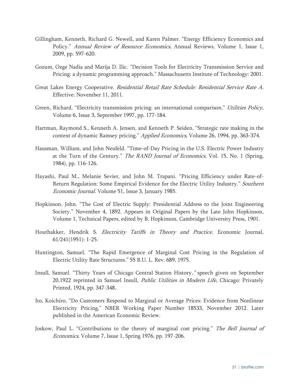- Gillingham, Kenneth, Richard G. Newell, and Karen Palmer. "Energy Efficiency Economics and Policy." Annual Review of Resource Economics, Annual Reviews, Volume 1, Issue 1, 2009, pp. 597-620.
- Gozum, Ozge Nadia and Marija D. Ilic. "Decision Tools for Electricity Transmission Service and Pricing: a dynamic programming approach." Massachusetts Institute of Technology: 2001.
- Great Lakes Energy Cooperative. Residential Retail Rate Schedule: Residential Service Rate A. Effective: November 11, 2011.
- Green, Richard. "Electricity transmission pricing: an international comparison." Utilities Policy, Volume 6, Issue 3, September 1997, pp. 177-184.
- Hartman, Raymond S., Kenneth A. Jensen, and Kenneth P. Seiden. "Strategic rate making in the context of dynamic Ramsey pricing." Applied Economics, Volume 26, 1994, pp. 363-374.
- Hausman, William, and John Neufeld. "Time-of-Day Pricing in the U.S. Electric Power Industry at the Turn of the Century." *The RAND Journal of Economics*, Vol. 15, No. 1 (Spring, 1984), pp. 116-126.
- Hayashi, Paul M., Melanie Sevier, and John M. Trapani. "Pricing Efficiency under Rate-of-Return Regulation: Some Empirical Evidence for the Electric Utility Industry." Southern Economic Journal. Volume 51, Issue 3, January 1985.
- Hopkinson, John. "The Cost of Electric Supply: Presidential Address to the Joint Engineering Society." November 4, 1892. Appears in Original Papers by the Late John Hopkinson, Volume 1, Technical Papers, edited by B. Hopkinson, Cambridge University Press, 1901.
- Houthakker, Hendrik S. Electricity Tariffs in Theory and Practice. Economic Journal, 61/241(1951): 1-25.
- Huntington, Samuel. "The Rapid Emergence of Marginal Cost Pricing in the Regulation of Electric Utility Rate Structures." 55 B.U. L. Rev. 689, 1975.
- Insull, Samuel. "Thirty Years of Chicago Central Station History," speech given on September 20,1922 reprinted in Samuel Insull, Public Utilities in Modern Life, Chicago: Privately Printed, 1924, pp. 347-348.
- Ito, Koichiro. "Do Customers Respond to Marginal or Average Prices: Evidence from Nonlinear Electricity Pricing," NBER Working Paper Number 18533, November 2012. Later published in the American Economic Review.
- Joskow, Paul L. "Contributions to the theory of marginal cost pricing." The Bell Journal of Economics, Volume 7, Issue 1, Spring 1976, pp. 197-206.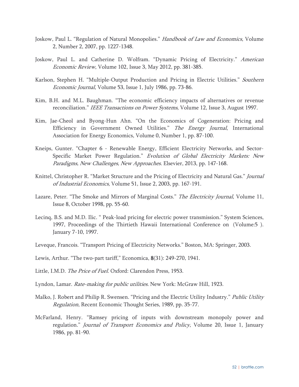- Joskow, Paul L. "Regulation of Natural Monopolies." *Handbook of Law and Economics*, Volume 2, Number 2, 2007, pp. 1227-1348.
- Joskow, Paul L. and Catherine D. Wolfram. "Dynamic Pricing of Electricity." American Economic Review, Volume 102, Issue 3, May 2012, pp. 381-385.
- Karlson, Stephen H. "Multiple-Output Production and Pricing in Electric Utilities." Southern Economic Journal, Volume 53, Issue 1, July 1986, pp. 73-86.
- Kim, B.H. and M.L. Baughman. "The economic efficiency impacts of alternatives or revenue reconciliation." IEEE Transactions on Power Systems, Volume 12, Issue 3, August 1997.
- Kim, Jae-Cheol and Byong-Hun Ahn. "On the Economics of Cogeneration: Pricing and Efficiency in Government Owned Utilities." The Energy Journal, International Association for Energy Economics, Volume 0, Number 1, pp. 87-100.
- Kneips, Gunter. "Chapter 6 Renewable Energy, Efficient Electricity Networks, and Sector-Specific Market Power Regulation." Evolution of Global Electricity Markets: New Paradigms, New Challenges, New Approaches. Elsevier, 2013, pp. 147-168.
- Knittel, Christopher R. "Market Structure and the Pricing of Electricity and Natural Gas." Journal of Industrial Economics, Volume 51, Issue 2, 2003, pp. 167-191.
- Lazare, Peter. "The Smoke and Mirrors of Marginal Costs." The Electricity Journal, Volume 11, Issue 8, October 1998, pp. 55-60.
- Lecinq, B.S. and M.D. Ilic. " Peak-load pricing for electric power transmission." System Sciences, 1997, Proceedings of the Thirtieth Hawaii International Conference on (Volume:5 ). January 7-10, 1997.
- Leveque, Francois. "Transport Pricing of Electricity Networks." Boston, MA: Springer, 2003.
- Lewis, Arthur. "The two-part tariff," Economica, 8(31): 249-270, 1941.
- Little, I.M.D. The Price of Fuel. Oxford: Clarendon Press, 1953.
- Lyndon, Lamar. Rate-making for public utilities. New York: McGraw Hill, 1923.
- Malko, J. Robert and Philip R. Swensen. "Pricing and the Electric Utility Industry." Public Utility Regulation, Recent Economic Thought Series, 1989, pp. 35-77.
- McFarland, Henry. "Ramsey pricing of inputs with downstream monopoly power and regulation." Journal of Transport Economics and Policy, Volume 20, Issue 1, January 1986, pp. 81-90.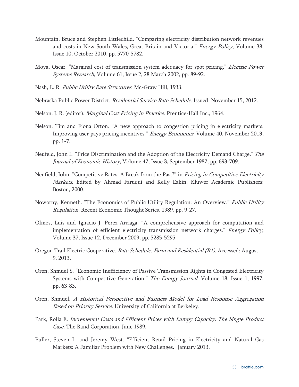- Mountain, Bruce and Stephen Littlechild. "Comparing electricity distribution network revenues and costs in New South Wales, Great Britain and Victoria." Energy Policy, Volume 38, Issue 10, October 2010, pp. 5770-5782.
- Moya, Oscar. "Marginal cost of transmission system adequacy for spot pricing." *Electric Power* Systems Research, Volume 61, Issue 2, 28 March 2002, pp. 89-92.
- Nash, L. R. Public Utility Rate Structures. Mc-Graw Hill, 1933.
- Nebraska Public Power District. Residential Service Rate Schedule. Issued: November 15, 2012.
- Nelson, J. R. (editor). Marginal Cost Pricing in Practice. Prentice-Hall Inc., 1964.
- Nelson, Tim and Fiona Orton. "A new approach to congestion pricing in electricity markets: Improving user pays pricing incentives." Energy Economics, Volume 40, November 2013, pp. 1-7.
- Neufeld, John L. "Price Discrimination and the Adoption of the Electricity Demand Charge." The Journal of Economic History, Volume 47, Issue 3, September 1987, pp. 693-709.
- Neufield, John. "Competitive Rates: A Break from the Past?" in Pricing in Competitive Electricity Markets. Edited by Ahmad Faruqui and Kelly Eakin. Kluwer Academic Publishers: Boston, 2000.
- Nowotny, Kenneth. "The Economics of Public Utility Regulation: An Overview." Public Utility Regulation, Recent Economic Thought Series, 1989, pp. 9-27.
- Olmos, Luis and Ignacio J. Perez-Arriaga. "A comprehensive approach for computation and implementation of efficient electricity transmission network charges." Energy Policy, Volume 37, Issue 12, December 2009, pp. 5285-5295.
- Oregon Trail Electric Cooperative. Rate Schedule: Farm and Residential (R1). Accessed: August 9, 2013.
- Oren, Shmuel S. "Economic Inefficiency of Passive Transmission Rights in Congested Electricity Systems with Competitive Generation." The Energy Journal, Volume 18, Issue 1, 1997, pp. 63-83.
- Oren, Shmuel. A Historical Perspective and Business Model for Load Response Aggregation Based on Priority Service. University of California at Berkeley.
- Park, Rolla E. Incremental Costs and Efficient Prices with Lumpy Capacity: The Single Product Case. The Rand Corporation, June 1989.
- Puller, Steven L. and Jeremy West. "Efficient Retail Pricing in Electricity and Natural Gas Markets: A Familiar Problem with New Challenges." January 2013.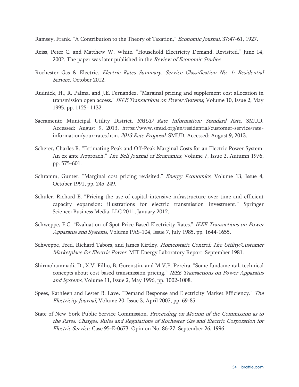Ramsey, Frank. "A Contribution to the Theory of Taxation," *Economic Journal*, 37:47-61, 1927.

- Reiss, Peter C. and Matthew W. White. "Household Electricity Demand, Revisited," June 14, 2002. The paper was later published in the Review of Economic Studies.
- Rochester Gas & Electric. Electric Rates Summary. Service Classification No. 1: Residential Service. October 2012.
- Rudnick, H., R. Palma, and J.E. Fernandez. "Marginal pricing and supplement cost allocation in transmission open access." IEEE Transactions on Power Systems, Volume 10, Issue 2, May 1995, pp. 1125- 1132.
- Sacramento Municipal Utility District. SMUD Rate Information: Standard Rate. SMUD. Accessed: August 9, 2013. https://www.smud.org/en/residential/customer-service/rateinformation/your-rates.htm. 2013 Rate Proposal. SMUD. Accessed: August 9, 2013.
- Scherer, Charles R. "Estimating Peak and Off-Peak Marginal Costs for an Electric Power System: An ex ante Approach." The Bell Journal of Economics, Volume 7, Issue 2, Autumn 1976, pp. 575-601.
- Schramm, Gunter. "Marginal cost pricing revisited." *Energy Economics*, Volume 13, Issue 4, October 1991, pp. 245-249.
- Schuler, Richard E. "Pricing the use of capital-intensive infrastructure over time and efficient capacity expansion: illustrations for electric transmission investment." Springer Science+Business Media, LLC 2011, January 2012.
- Schweppe, F.C. "Evaluation of Spot Price Based Electricity Rates." IEEE Transactions on Power Apparatus and Systems, Volume PAS-104, Issue 7, July 1985, pp. 1644-1655.
- Schweppe, Fred, Richard Tabors, and James Kirtley. Homeostatic Control: The Utility/Customer Marketplace for Electric Power. MIT Energy Laboratory Report. September 1981.
- Shirmohammadi, D., X.V. Filho, B. Gorenstin, and M.V.P. Pereira. "Some fundamental, technical concepts about cost based transmission pricing." IEEE Transactions on Power Apparatus and Systems, Volume 11, Issue 2, May 1996, pp. 1002-1008.
- Spees, Kathleen and Lester B. Lave. "Demand Response and Electricity Market Efficiency." The Electricity Journal, Volume 20, Issue 3, April 2007, pp. 69-85.
- State of New York Public Service Commission. *Proceeding on Motion of the Commission as to* the Rates, Charges, Rules and Regulations of Rochester Gas and Electric Corporation for Electric Service. Case 95-E-0673. Opinion No. 86-27. September 26, 1996.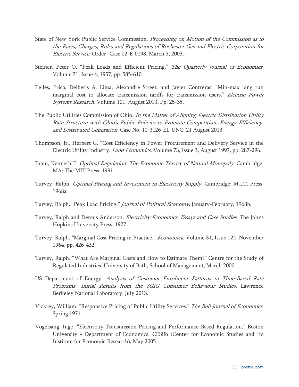- State of New York Public Service Commission. *Proceeding on Motion of the Commission as to* the Rates, Charges, Rules and Regulations of Rochester Gas and Electric Corporation for Electric Service. Order- Case 02-E-0198. March 5, 2003.
- Steiner, Peter O. "Peak Loads and Efficient Pricing." The Quarterly Journal of Economics, Volume 71, Issue 4, 1957, pp. 585-610.
- Telles, Erica, Delberis A. Lima, Alexandre Street, and Javier Contreras. "Min-max long run marginal cost to allocate transmission tariffs for transmission users." Electric Power Systems Research, Volume 101, August 2013, Pp. 25-35.
- The Public Utilities Commission of Ohio. In the Matter of Aligning Electric Distribution Utility Rate Structure with Ohio's Public Policies to Promote Competition, Energy Efficiency, and Distributed Generation. Case No. 10-3126-EL-UNC. 21 August 2013.
- Thompson, Jr., Herbert G. "Cost Efficiency in Power Procurement and Delivery Service in the Electric Utility Industry. Land Economics, Volume 73, Issue 3, August 1997, pp. 287-296.
- Train, Kenneth E. Optimal Regulation: The Economic Theory of Natural Monopoly. Cambridge, MA: The MIT Press, 1991.
- Turvey, Ralph. Optimal Pricing and Investment in Electricity Supply. Cambridge: M.I.T. Press, 1968a.
- Turvey, Ralph. "Peak Load Pricing," Journal of Political Economy, January-February, 1968b.
- Turvey, Ralph and Dennis Anderson. Electricity Economics: Essays and Case Studies. The Johns Hopkins University Press, 1977.
- Turvey, Ralph. "Marginal Cost Pricing in Practice." *Economica*, Volume 31, Issue 124, November 1964, pp. 426-432.
- Turvey, Ralph. "What Are Marginal Costs and How to Estimate Them?" Centre for the Study of Regulated Industries. University of Bath, School of Management, March 2000.
- US Department of Energy. Analysis of Customer Enrolment Patterns in Time-Based Rate Programs- Initial Results from the SGIG Consumer Behaviour Studies. Lawrence Berkeley National Laboratory. July 2013.
- Vickrey, William. "Responsive Pricing of Public Utility Services." The Bell Journal of Economics, Spring 1971.
- Vogelsang, Ingo. "Electricity Transmission Pricing and Performance-Based Regulation." Boston University - Department of Economics; CESifo (Center for Economic Studies and Ifo Institute for Economic Research), May 2005.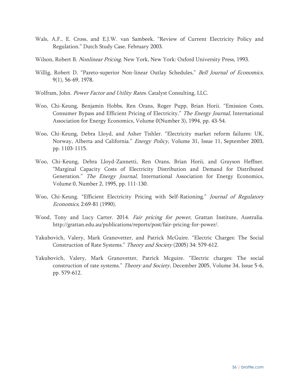- Wals, A.F., E. Cross, and E.J.W. van Sambeek. "Review of Current Electricity Policy and Regulation." Dutch Study Case. February 2003.
- Wilson, Robert B. *Nonlinear Pricing*. New York, New York: Oxford University Press, 1993.
- Willig, Robert D. "Pareto-superior Non-linear Outlay Schedules," Bell Journal of Economics, 9(1), 56-69, 1978.
- Wolfram, John. Power Factor and Utility Rates. Catalyst Consulting, LLC.
- Woo, Chi-Keung, Benjamin Hobbs, Ren Orans, Roger Pupp, Brian Horii. "Emission Costs, Consumer Bypass and Efficient Pricing of Electricity." The Energy Journal, International Association for Energy Economics, Volume 0(Number 3), 1994, pp. 43-54.
- Woo, Chi-Keung, Debra Lloyd, and Asher Tishler. "Electricity market reform failures: UK, Norway, Alberta and California." Energy Policy, Volume 31, Issue 11, September 2003, pp. 1103-1115.
- Woo, Chi-Keung, Debra Lloyd-Zannetti, Ren Orans, Brian Horii, and Grayson Heffner. "Marginal Capacity Costs of Electricity Distribution and Demand for Distributed Generation." The Energy Journal, International Association for Energy Economics, Volume 0, Number 2, 1995, pp. 111-130.
- Woo, Chi-Keung. "Efficient Electricity Pricing with Self-Rationing." Journal of Regulatory Economics, 2:69-81 (1990).
- Wood, Tony and Lucy Carter. 2014. Fair pricing for power, Grattan Institute, Australia. http://grattan.edu.au/publications/reports/post/fair-pricing-for-power/.
- Yakubovich, Valery, Mark Granovetter, and Patrick McGuire. "Electric Charges: The Social Construction of Rate Systems." Theory and Society (2005) 34: 579-612.
- Yakubovich, Valery, Mark Granovetter, Patrick Mcguire. "Electric charges: The social construction of rate systems." *Theory and Society*, December 2005, Volume 34, Issue 5-6, pp. 579-612.